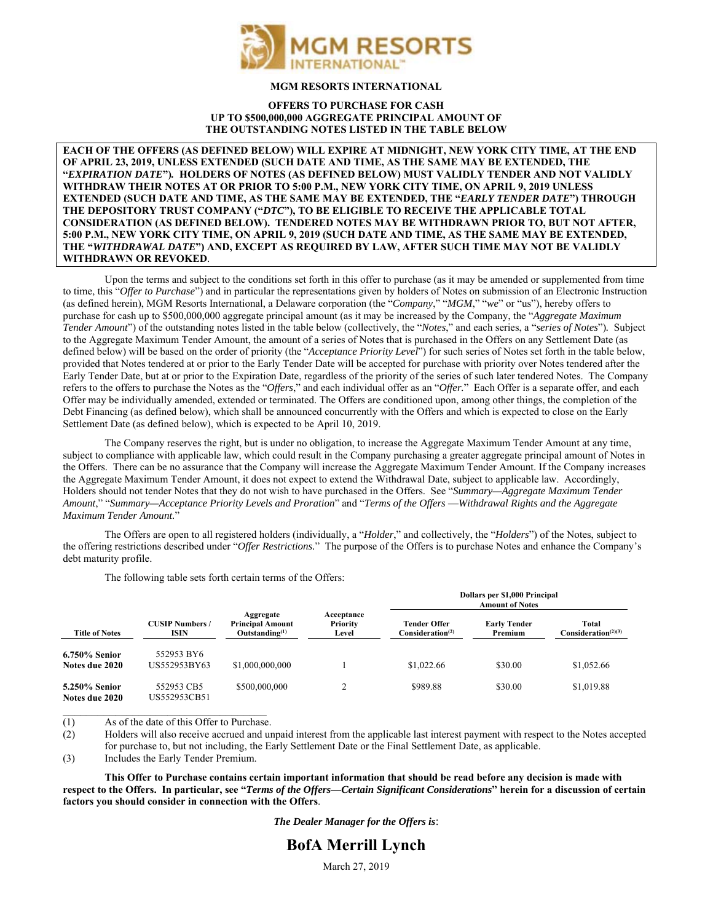

### **MGM RESORTS INTERNATIONAL**

#### **OFFERS TO PURCHASE FOR CASH UP TO \$500,000,000 AGGREGATE PRINCIPAL AMOUNT OF THE OUTSTANDING NOTES LISTED IN THE TABLE BELOW**

**EACH OF THE OFFERS (AS DEFINED BELOW) WILL EXPIRE AT MIDNIGHT, NEW YORK CITY TIME, AT THE END OF APRIL 23, 2019, UNLESS EXTENDED (SUCH DATE AND TIME, AS THE SAME MAY BE EXTENDED, THE "***EXPIRATION DATE***")***.* **HOLDERS OF NOTES (AS DEFINED BELOW) MUST VALIDLY TENDER AND NOT VALIDLY WITHDRAW THEIR NOTES AT OR PRIOR TO 5:00 P.M., NEW YORK CITY TIME, ON APRIL 9, 2019 UNLESS EXTENDED (SUCH DATE AND TIME, AS THE SAME MAY BE EXTENDED, THE "***EARLY TENDER DATE***") THROUGH THE DEPOSITORY TRUST COMPANY ("***DTC***"), TO BE ELIGIBLE TO RECEIVE THE APPLICABLE TOTAL CONSIDERATION (AS DEFINED BELOW). TENDERED NOTES MAY BE WITHDRAWN PRIOR TO, BUT NOT AFTER, 5:00 P.M., NEW YORK CITY TIME, ON APRIL 9, 2019 (SUCH DATE AND TIME, AS THE SAME MAY BE EXTENDED, THE "***WITHDRAWAL DATE***") AND, EXCEPT AS REQUIRED BY LAW, AFTER SUCH TIME MAY NOT BE VALIDLY WITHDRAWN OR REVOKED**.

Upon the terms and subject to the conditions set forth in this offer to purchase (as it may be amended or supplemented from time to time, this "*Offer to Purchase*") and in particular the representations given by holders of Notes on submission of an Electronic Instruction (as defined herein), MGM Resorts International, a Delaware corporation (the "*Company*," "*MGM*," "*we*" or "us"), hereby offers to purchase for cash up to \$500,000,000 aggregate principal amount (as it may be increased by the Company, the "*Aggregate Maximum Tender Amount*") of the outstanding notes listed in the table below (collectively, the "*Notes*," and each series, a "*series of Notes*")*.* Subject to the Aggregate Maximum Tender Amount, the amount of a series of Notes that is purchased in the Offers on any Settlement Date (as defined below) will be based on the order of priority (the "*Acceptance Priority Level*") for such series of Notes set forth in the table below, provided that Notes tendered at or prior to the Early Tender Date will be accepted for purchase with priority over Notes tendered after the Early Tender Date, but at or prior to the Expiration Date, regardless of the priority of the series of such later tendered Notes. The Company refers to the offers to purchase the Notes as the "*Offers*," and each individual offer as an "*Offer.*" Each Offer is a separate offer, and each Offer may be individually amended, extended or terminated. The Offers are conditioned upon, among other things, the completion of the Debt Financing (as defined below), which shall be announced concurrently with the Offers and which is expected to close on the Early Settlement Date (as defined below), which is expected to be April 10, 2019.

The Company reserves the right, but is under no obligation, to increase the Aggregate Maximum Tender Amount at any time, subject to compliance with applicable law, which could result in the Company purchasing a greater aggregate principal amount of Notes in the Offers. There can be no assurance that the Company will increase the Aggregate Maximum Tender Amount. If the Company increases the Aggregate Maximum Tender Amount, it does not expect to extend the Withdrawal Date, subject to applicable law. Accordingly, Holders should not tender Notes that they do not wish to have purchased in the Offers. See "*Summary—Aggregate Maximum Tender Amount*," "*Summary—Acceptance Priority Levels and Proration*" and "*Terms of the Offers* —*Withdrawal Rights and the Aggregate Maximum Tender Amount.*"

The Offers are open to all registered holders (individually, a "*Holder*," and collectively, the "*Holders*") of the Notes, subject to the offering restrictions described under "*Offer Restrictions.*" The purpose of the Offers is to purchase Notes and enhance the Company's debt maturity profile.

The following table sets forth certain terms of the Offers:

| <b>Title of Notes</b>           | <b>CUSIP Numbers /</b><br><b>ISIN</b> | Aggregate<br><b>Principal Amount</b><br>Outstanding $^{(1)}$ | Acceptance<br>Priority<br>Level | Dollars per \$1,000 Principal<br><b>Amount of Notes</b> |                                |                                                       |
|---------------------------------|---------------------------------------|--------------------------------------------------------------|---------------------------------|---------------------------------------------------------|--------------------------------|-------------------------------------------------------|
|                                 |                                       |                                                              |                                 | Tender Offer<br>Consideration <sup>(2)</sup>            | <b>Early Tender</b><br>Premium | Total<br>Consideration <sup><math>(2)(3)</math></sup> |
| 6.750% Senior<br>Notes due 2020 | 552953 BY6<br>US552953BY63            | \$1,000,000,000                                              |                                 | \$1,022.66                                              | \$30.00                        | \$1,052.66                                            |
| 5.250% Senior<br>Notes due 2020 | 552953 CB5<br>US552953CB51            | \$500,000,000                                                |                                 | \$989.88                                                | \$30.00                        | \$1,019.88                                            |

 $\mathcal{L}_\text{max}$  , and the set of the set of the set of the set of the set of the set of the set of the set of the set of the set of the set of the set of the set of the set of the set of the set of the set of the set of the (1) As of the date of this Offer to Purchase.

(2) Holders will also receive accrued and unpaid interest from the applicable last interest payment with respect to the Notes accepted

for purchase to, but not including, the Early Settlement Date or the Final Settlement Date, as applicable.

(3) Includes the Early Tender Premium.

**This Offer to Purchase contains certain important information that should be read before any decision is made with respect to the Offers. In particular, see "***Terms of the Offers—Certain Significant Considerations***" herein for a discussion of certain factors you should consider in connection with the Offers**.

*The Dealer Manager for the Offers is*:

# **BofA Merrill Lynch**

March 27, 2019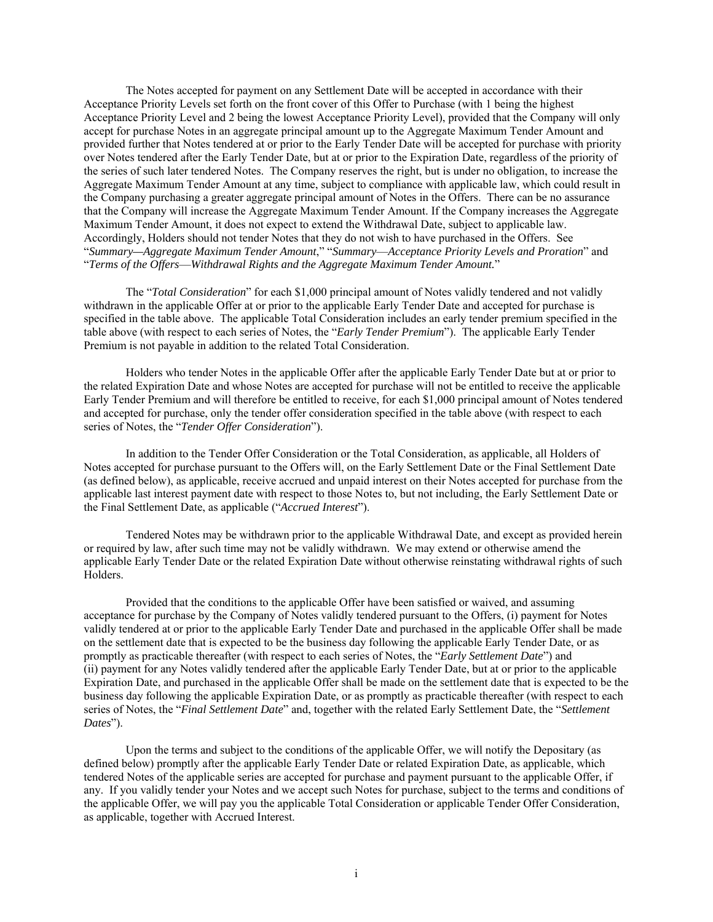The Notes accepted for payment on any Settlement Date will be accepted in accordance with their Acceptance Priority Levels set forth on the front cover of this Offer to Purchase (with 1 being the highest Acceptance Priority Level and 2 being the lowest Acceptance Priority Level), provided that the Company will only accept for purchase Notes in an aggregate principal amount up to the Aggregate Maximum Tender Amount and provided further that Notes tendered at or prior to the Early Tender Date will be accepted for purchase with priority over Notes tendered after the Early Tender Date, but at or prior to the Expiration Date, regardless of the priority of the series of such later tendered Notes. The Company reserves the right, but is under no obligation, to increase the Aggregate Maximum Tender Amount at any time, subject to compliance with applicable law, which could result in the Company purchasing a greater aggregate principal amount of Notes in the Offers. There can be no assurance that the Company will increase the Aggregate Maximum Tender Amount. If the Company increases the Aggregate Maximum Tender Amount, it does not expect to extend the Withdrawal Date, subject to applicable law. Accordingly, Holders should not tender Notes that they do not wish to have purchased in the Offers. See "*Summary—Aggregate Maximum Tender Amount*," "*Summary*—*Acceptance Priority Levels and Proration*" and "*Terms of the Offers*—*Withdrawal Rights and the Aggregate Maximum Tender Amount.*"

The "*Total Consideration*" for each \$1,000 principal amount of Notes validly tendered and not validly withdrawn in the applicable Offer at or prior to the applicable Early Tender Date and accepted for purchase is specified in the table above. The applicable Total Consideration includes an early tender premium specified in the table above (with respect to each series of Notes, the "*Early Tender Premium*"). The applicable Early Tender Premium is not payable in addition to the related Total Consideration.

Holders who tender Notes in the applicable Offer after the applicable Early Tender Date but at or prior to the related Expiration Date and whose Notes are accepted for purchase will not be entitled to receive the applicable Early Tender Premium and will therefore be entitled to receive, for each \$1,000 principal amount of Notes tendered and accepted for purchase, only the tender offer consideration specified in the table above (with respect to each series of Notes, the "*Tender Offer Consideration*").

In addition to the Tender Offer Consideration or the Total Consideration, as applicable, all Holders of Notes accepted for purchase pursuant to the Offers will, on the Early Settlement Date or the Final Settlement Date (as defined below), as applicable, receive accrued and unpaid interest on their Notes accepted for purchase from the applicable last interest payment date with respect to those Notes to, but not including, the Early Settlement Date or the Final Settlement Date, as applicable ("*Accrued Interest*").

Tendered Notes may be withdrawn prior to the applicable Withdrawal Date, and except as provided herein or required by law, after such time may not be validly withdrawn. We may extend or otherwise amend the applicable Early Tender Date or the related Expiration Date without otherwise reinstating withdrawal rights of such Holders.

Provided that the conditions to the applicable Offer have been satisfied or waived, and assuming acceptance for purchase by the Company of Notes validly tendered pursuant to the Offers, (i) payment for Notes validly tendered at or prior to the applicable Early Tender Date and purchased in the applicable Offer shall be made on the settlement date that is expected to be the business day following the applicable Early Tender Date, or as promptly as practicable thereafter (with respect to each series of Notes, the "*Early Settlement Date*") and (ii) payment for any Notes validly tendered after the applicable Early Tender Date, but at or prior to the applicable Expiration Date, and purchased in the applicable Offer shall be made on the settlement date that is expected to be the business day following the applicable Expiration Date, or as promptly as practicable thereafter (with respect to each series of Notes, the "*Final Settlement Date*" and, together with the related Early Settlement Date, the "*Settlement Dates*").

Upon the terms and subject to the conditions of the applicable Offer, we will notify the Depositary (as defined below) promptly after the applicable Early Tender Date or related Expiration Date, as applicable, which tendered Notes of the applicable series are accepted for purchase and payment pursuant to the applicable Offer, if any. If you validly tender your Notes and we accept such Notes for purchase, subject to the terms and conditions of the applicable Offer, we will pay you the applicable Total Consideration or applicable Tender Offer Consideration, as applicable, together with Accrued Interest.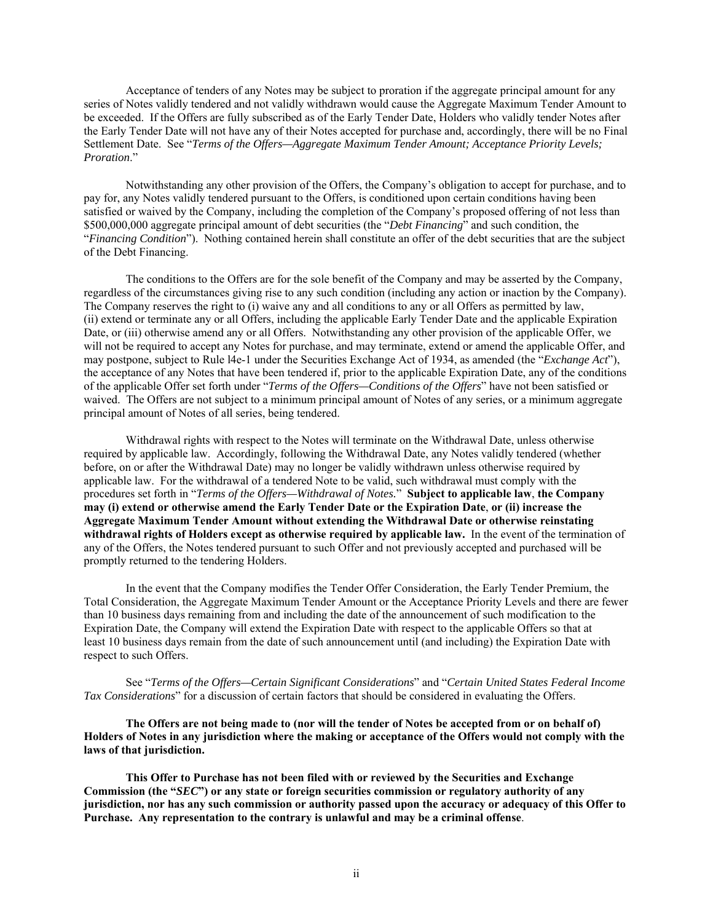Acceptance of tenders of any Notes may be subject to proration if the aggregate principal amount for any series of Notes validly tendered and not validly withdrawn would cause the Aggregate Maximum Tender Amount to be exceeded. If the Offers are fully subscribed as of the Early Tender Date, Holders who validly tender Notes after the Early Tender Date will not have any of their Notes accepted for purchase and, accordingly, there will be no Final Settlement Date. See "*Terms of the Offers—Aggregate Maximum Tender Amount; Acceptance Priority Levels; Proration*."

Notwithstanding any other provision of the Offers, the Company's obligation to accept for purchase, and to pay for, any Notes validly tendered pursuant to the Offers, is conditioned upon certain conditions having been satisfied or waived by the Company, including the completion of the Company's proposed offering of not less than \$500,000,000 aggregate principal amount of debt securities (the "*Debt Financing*" and such condition, the "*Financing Condition*"). Nothing contained herein shall constitute an offer of the debt securities that are the subject of the Debt Financing.

The conditions to the Offers are for the sole benefit of the Company and may be asserted by the Company, regardless of the circumstances giving rise to any such condition (including any action or inaction by the Company). The Company reserves the right to (i) waive any and all conditions to any or all Offers as permitted by law, (ii) extend or terminate any or all Offers, including the applicable Early Tender Date and the applicable Expiration Date, or (iii) otherwise amend any or all Offers. Notwithstanding any other provision of the applicable Offer, we will not be required to accept any Notes for purchase, and may terminate, extend or amend the applicable Offer, and may postpone, subject to Rule l4e-1 under the Securities Exchange Act of 1934, as amended (the "*Exchange Act*"), the acceptance of any Notes that have been tendered if, prior to the applicable Expiration Date, any of the conditions of the applicable Offer set forth under "*Terms of the Offers—Conditions of the Offers*" have not been satisfied or waived. The Offers are not subject to a minimum principal amount of Notes of any series, or a minimum aggregate principal amount of Notes of all series, being tendered.

Withdrawal rights with respect to the Notes will terminate on the Withdrawal Date, unless otherwise required by applicable law. Accordingly, following the Withdrawal Date, any Notes validly tendered (whether before, on or after the Withdrawal Date) may no longer be validly withdrawn unless otherwise required by applicable law. For the withdrawal of a tendered Note to be valid, such withdrawal must comply with the procedures set forth in "*Terms of the Offers—Withdrawal of Notes.*" **Subject to applicable law**, **the Company may (i) extend or otherwise amend the Early Tender Date or the Expiration Date**, **or (ii) increase the Aggregate Maximum Tender Amount without extending the Withdrawal Date or otherwise reinstating withdrawal rights of Holders except as otherwise required by applicable law.** In the event of the termination of any of the Offers, the Notes tendered pursuant to such Offer and not previously accepted and purchased will be promptly returned to the tendering Holders.

In the event that the Company modifies the Tender Offer Consideration, the Early Tender Premium, the Total Consideration, the Aggregate Maximum Tender Amount or the Acceptance Priority Levels and there are fewer than 10 business days remaining from and including the date of the announcement of such modification to the Expiration Date, the Company will extend the Expiration Date with respect to the applicable Offers so that at least 10 business days remain from the date of such announcement until (and including) the Expiration Date with respect to such Offers.

See "*Terms of the Offers—Certain Significant Considerations*" and "*Certain United States Federal Income Tax Considerations*" for a discussion of certain factors that should be considered in evaluating the Offers.

**The Offers are not being made to (nor will the tender of Notes be accepted from or on behalf of) Holders of Notes in any jurisdiction where the making or acceptance of the Offers would not comply with the laws of that jurisdiction.** 

**This Offer to Purchase has not been filed with or reviewed by the Securities and Exchange Commission (the "***SEC***") or any state or foreign securities commission or regulatory authority of any jurisdiction, nor has any such commission or authority passed upon the accuracy or adequacy of this Offer to Purchase. Any representation to the contrary is unlawful and may be a criminal offense**.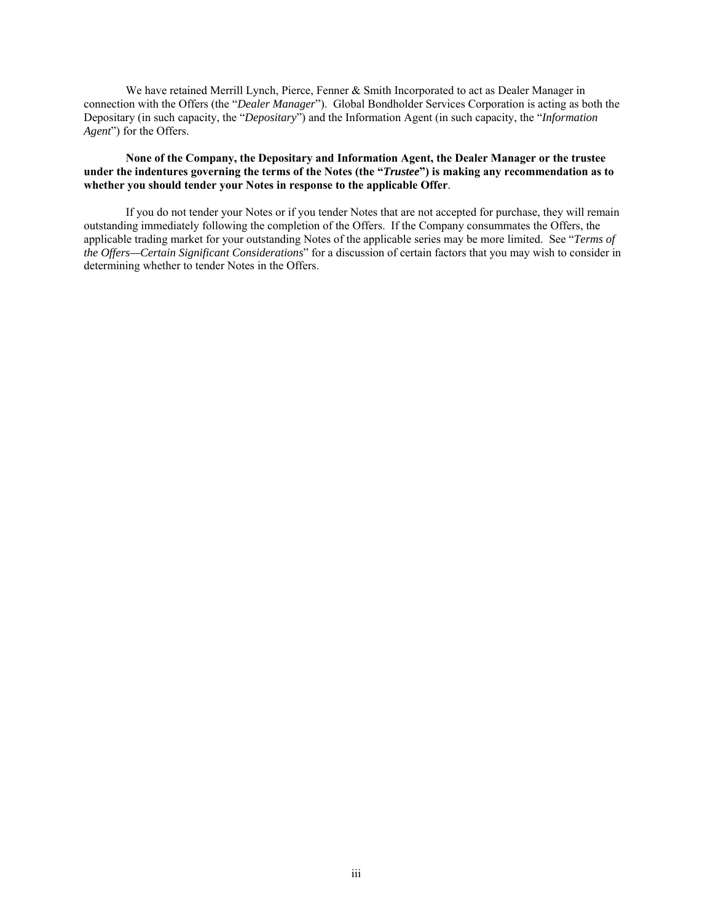We have retained Merrill Lynch, Pierce, Fenner & Smith Incorporated to act as Dealer Manager in connection with the Offers (the "*Dealer Manager*"). Global Bondholder Services Corporation is acting as both the Depositary (in such capacity, the "*Depositary*") and the Information Agent (in such capacity, the "*Information Agent*") for the Offers.

**None of the Company, the Depositary and Information Agent, the Dealer Manager or the trustee under the indentures governing the terms of the Notes (the "***Trustee***") is making any recommendation as to whether you should tender your Notes in response to the applicable Offer**.

If you do not tender your Notes or if you tender Notes that are not accepted for purchase, they will remain outstanding immediately following the completion of the Offers. If the Company consummates the Offers, the applicable trading market for your outstanding Notes of the applicable series may be more limited. See "*Terms of the Offers—Certain Significant Considerations*" for a discussion of certain factors that you may wish to consider in determining whether to tender Notes in the Offers.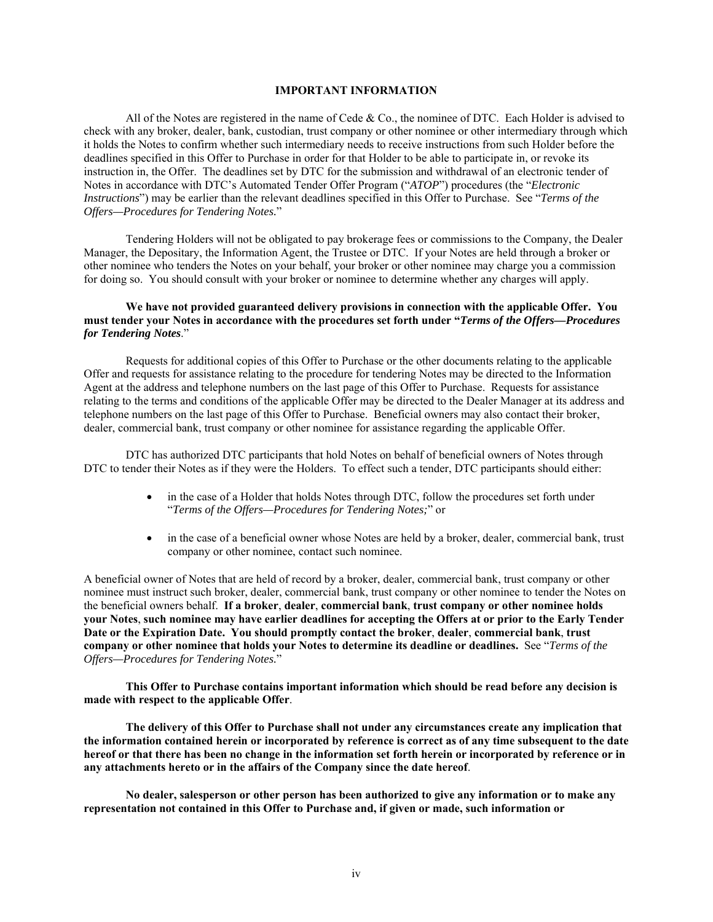# **IMPORTANT INFORMATION**

All of the Notes are registered in the name of Cede & Co., the nominee of DTC. Each Holder is advised to check with any broker, dealer, bank, custodian, trust company or other nominee or other intermediary through which it holds the Notes to confirm whether such intermediary needs to receive instructions from such Holder before the deadlines specified in this Offer to Purchase in order for that Holder to be able to participate in, or revoke its instruction in, the Offer. The deadlines set by DTC for the submission and withdrawal of an electronic tender of Notes in accordance with DTC's Automated Tender Offer Program ("*ATOP*") procedures (the "*Electronic Instructions*") may be earlier than the relevant deadlines specified in this Offer to Purchase. See "*Terms of the Offers—Procedures for Tendering Notes.*"

Tendering Holders will not be obligated to pay brokerage fees or commissions to the Company, the Dealer Manager, the Depositary, the Information Agent, the Trustee or DTC. If your Notes are held through a broker or other nominee who tenders the Notes on your behalf, your broker or other nominee may charge you a commission for doing so. You should consult with your broker or nominee to determine whether any charges will apply.

# **We have not provided guaranteed delivery provisions in connection with the applicable Offer. You must tender your Notes in accordance with the procedures set forth under "***Terms of the Offers—Procedures for Tendering Notes*."

Requests for additional copies of this Offer to Purchase or the other documents relating to the applicable Offer and requests for assistance relating to the procedure for tendering Notes may be directed to the Information Agent at the address and telephone numbers on the last page of this Offer to Purchase. Requests for assistance relating to the terms and conditions of the applicable Offer may be directed to the Dealer Manager at its address and telephone numbers on the last page of this Offer to Purchase. Beneficial owners may also contact their broker, dealer, commercial bank, trust company or other nominee for assistance regarding the applicable Offer.

DTC has authorized DTC participants that hold Notes on behalf of beneficial owners of Notes through DTC to tender their Notes as if they were the Holders. To effect such a tender, DTC participants should either:

- in the case of a Holder that holds Notes through DTC, follow the procedures set forth under "*Terms of the Offers—Procedures for Tendering Notes;*" or
- in the case of a beneficial owner whose Notes are held by a broker, dealer, commercial bank, trust company or other nominee, contact such nominee.

A beneficial owner of Notes that are held of record by a broker, dealer, commercial bank, trust company or other nominee must instruct such broker, dealer, commercial bank, trust company or other nominee to tender the Notes on the beneficial owners behalf. **If a broker**, **dealer**, **commercial bank**, **trust company or other nominee holds your Notes**, **such nominee may have earlier deadlines for accepting the Offers at or prior to the Early Tender Date or the Expiration Date. You should promptly contact the broker**, **dealer**, **commercial bank**, **trust company or other nominee that holds your Notes to determine its deadline or deadlines.** See "*Terms of the Offers—Procedures for Tendering Notes.*"

**This Offer to Purchase contains important information which should be read before any decision is made with respect to the applicable Offer**.

**The delivery of this Offer to Purchase shall not under any circumstances create any implication that the information contained herein or incorporated by reference is correct as of any time subsequent to the date hereof or that there has been no change in the information set forth herein or incorporated by reference or in any attachments hereto or in the affairs of the Company since the date hereof**.

**No dealer, salesperson or other person has been authorized to give any information or to make any representation not contained in this Offer to Purchase and, if given or made, such information or**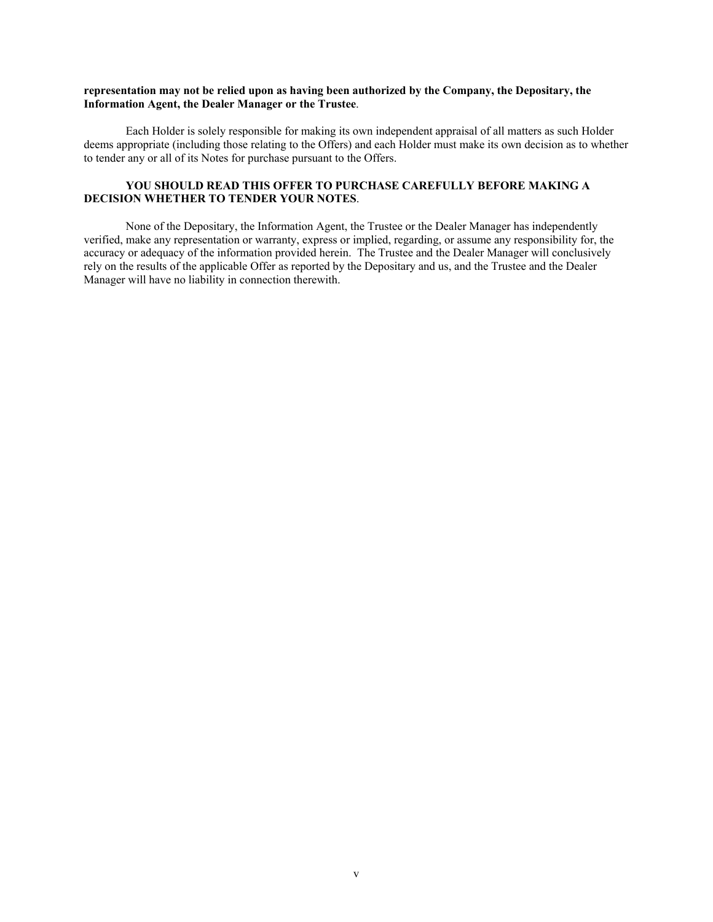# **representation may not be relied upon as having been authorized by the Company, the Depositary, the Information Agent, the Dealer Manager or the Trustee**.

Each Holder is solely responsible for making its own independent appraisal of all matters as such Holder deems appropriate (including those relating to the Offers) and each Holder must make its own decision as to whether to tender any or all of its Notes for purchase pursuant to the Offers.

# **YOU SHOULD READ THIS OFFER TO PURCHASE CAREFULLY BEFORE MAKING A DECISION WHETHER TO TENDER YOUR NOTES**.

None of the Depositary, the Information Agent, the Trustee or the Dealer Manager has independently verified, make any representation or warranty, express or implied, regarding, or assume any responsibility for, the accuracy or adequacy of the information provided herein. The Trustee and the Dealer Manager will conclusively rely on the results of the applicable Offer as reported by the Depositary and us, and the Trustee and the Dealer Manager will have no liability in connection therewith.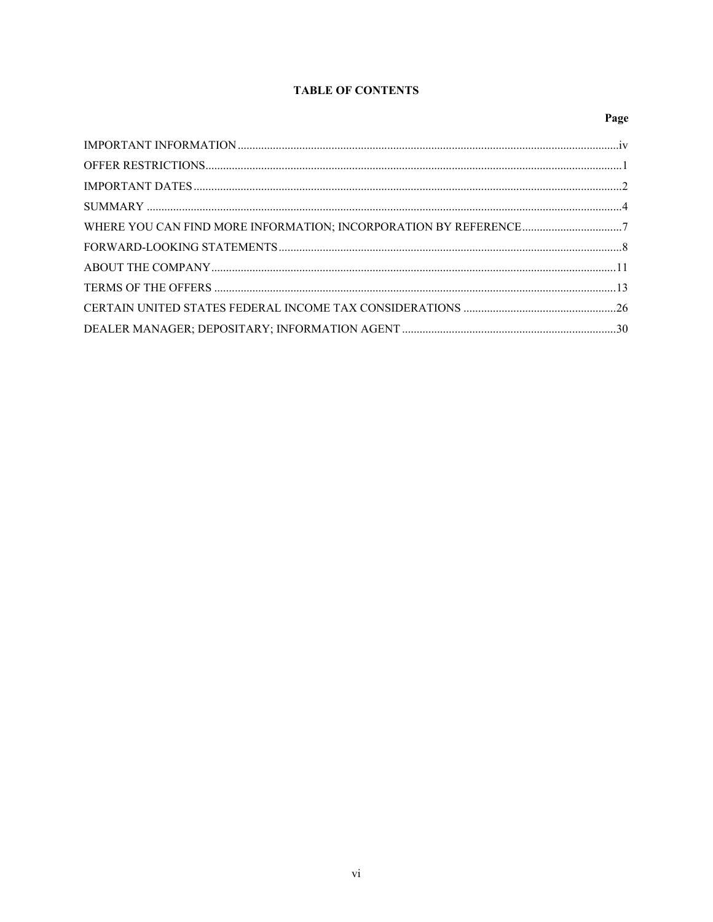# **TABLE OF CONTENTS**

# Page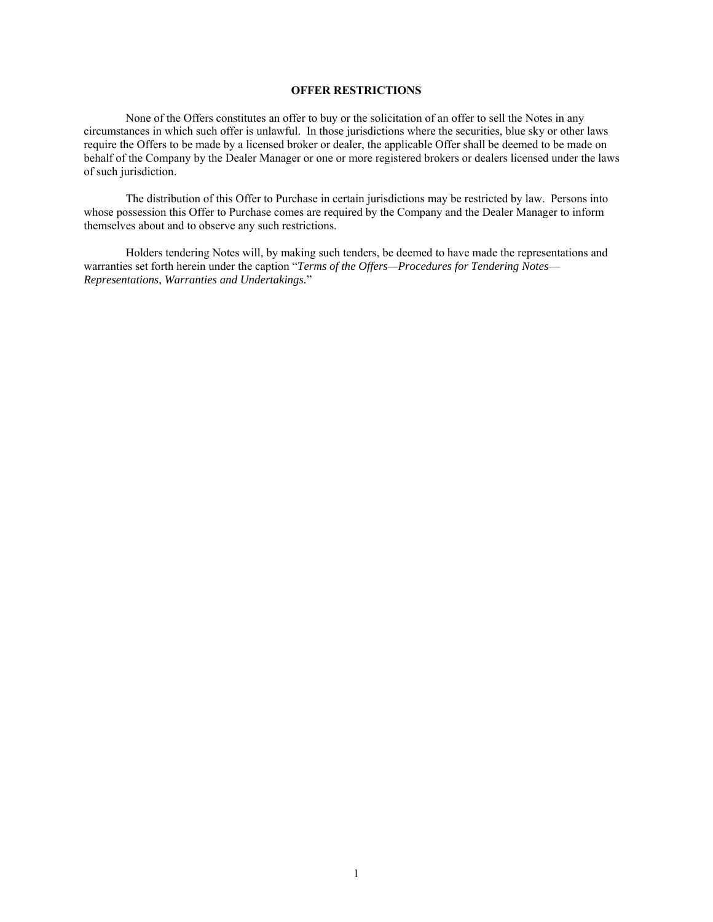# **OFFER RESTRICTIONS**

None of the Offers constitutes an offer to buy or the solicitation of an offer to sell the Notes in any circumstances in which such offer is unlawful. In those jurisdictions where the securities, blue sky or other laws require the Offers to be made by a licensed broker or dealer, the applicable Offer shall be deemed to be made on behalf of the Company by the Dealer Manager or one or more registered brokers or dealers licensed under the laws of such jurisdiction.

The distribution of this Offer to Purchase in certain jurisdictions may be restricted by law. Persons into whose possession this Offer to Purchase comes are required by the Company and the Dealer Manager to inform themselves about and to observe any such restrictions.

Holders tendering Notes will, by making such tenders, be deemed to have made the representations and warranties set forth herein under the caption "*Terms of the Offers—Procedures for Tendering Notes*— *Representations*, *Warranties and Undertakings.*"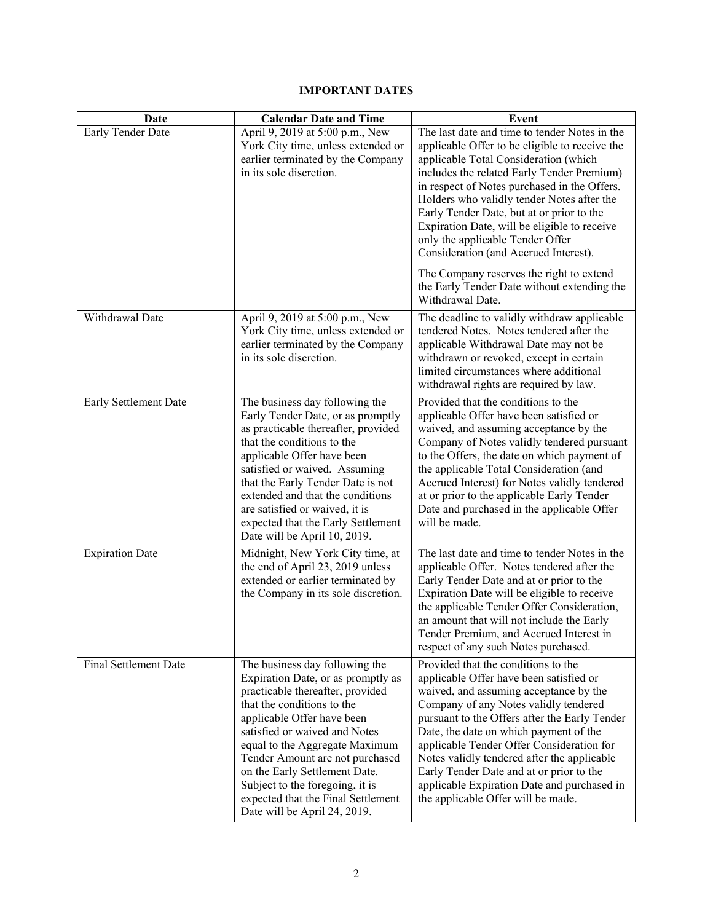# **IMPORTANT DATES**

| Date                   | <b>Calendar Date and Time</b>                                                                                                                                                                                                                                                                                                                                                                                        | Event                                                                                                                                                                                                                                                                                                                                                                                                                                                                                     |  |  |
|------------------------|----------------------------------------------------------------------------------------------------------------------------------------------------------------------------------------------------------------------------------------------------------------------------------------------------------------------------------------------------------------------------------------------------------------------|-------------------------------------------------------------------------------------------------------------------------------------------------------------------------------------------------------------------------------------------------------------------------------------------------------------------------------------------------------------------------------------------------------------------------------------------------------------------------------------------|--|--|
| Early Tender Date      | April 9, 2019 at 5:00 p.m., New<br>York City time, unless extended or<br>earlier terminated by the Company<br>in its sole discretion.                                                                                                                                                                                                                                                                                | The last date and time to tender Notes in the<br>applicable Offer to be eligible to receive the<br>applicable Total Consideration (which<br>includes the related Early Tender Premium)<br>in respect of Notes purchased in the Offers.<br>Holders who validly tender Notes after the<br>Early Tender Date, but at or prior to the<br>Expiration Date, will be eligible to receive<br>only the applicable Tender Offer<br>Consideration (and Accrued Interest).                            |  |  |
|                        |                                                                                                                                                                                                                                                                                                                                                                                                                      | The Company reserves the right to extend<br>the Early Tender Date without extending the<br>Withdrawal Date.                                                                                                                                                                                                                                                                                                                                                                               |  |  |
| Withdrawal Date        | April 9, 2019 at 5:00 p.m., New<br>York City time, unless extended or<br>earlier terminated by the Company<br>in its sole discretion.                                                                                                                                                                                                                                                                                | The deadline to validly withdraw applicable<br>tendered Notes. Notes tendered after the<br>applicable Withdrawal Date may not be<br>withdrawn or revoked, except in certain<br>limited circumstances where additional<br>withdrawal rights are required by law.                                                                                                                                                                                                                           |  |  |
| Early Settlement Date  | The business day following the<br>Early Tender Date, or as promptly<br>as practicable thereafter, provided<br>that the conditions to the<br>applicable Offer have been<br>satisfied or waived. Assuming<br>that the Early Tender Date is not<br>extended and that the conditions<br>are satisfied or waived, it is<br>expected that the Early Settlement<br>Date will be April 10, 2019.                             | Provided that the conditions to the<br>applicable Offer have been satisfied or<br>waived, and assuming acceptance by the<br>Company of Notes validly tendered pursuant<br>to the Offers, the date on which payment of<br>the applicable Total Consideration (and<br>Accrued Interest) for Notes validly tendered<br>at or prior to the applicable Early Tender<br>Date and purchased in the applicable Offer<br>will be made.                                                             |  |  |
| <b>Expiration Date</b> | Midnight, New York City time, at<br>the end of April 23, 2019 unless<br>extended or earlier terminated by<br>the Company in its sole discretion.                                                                                                                                                                                                                                                                     | The last date and time to tender Notes in the<br>applicable Offer. Notes tendered after the<br>Early Tender Date and at or prior to the<br>Expiration Date will be eligible to receive<br>the applicable Tender Offer Consideration,<br>an amount that will not include the Early<br>Tender Premium, and Accrued Interest in<br>respect of any such Notes purchased.                                                                                                                      |  |  |
| Final Settlement Date  | The business day following the<br>Expiration Date, or as promptly as<br>practicable thereafter, provided<br>that the conditions to the<br>applicable Offer have been<br>satisfied or waived and Notes<br>equal to the Aggregate Maximum<br>Tender Amount are not purchased<br>on the Early Settlement Date.<br>Subject to the foregoing, it is<br>expected that the Final Settlement<br>Date will be April 24, 2019. | Provided that the conditions to the<br>applicable Offer have been satisfied or<br>waived, and assuming acceptance by the<br>Company of any Notes validly tendered<br>pursuant to the Offers after the Early Tender<br>Date, the date on which payment of the<br>applicable Tender Offer Consideration for<br>Notes validly tendered after the applicable<br>Early Tender Date and at or prior to the<br>applicable Expiration Date and purchased in<br>the applicable Offer will be made. |  |  |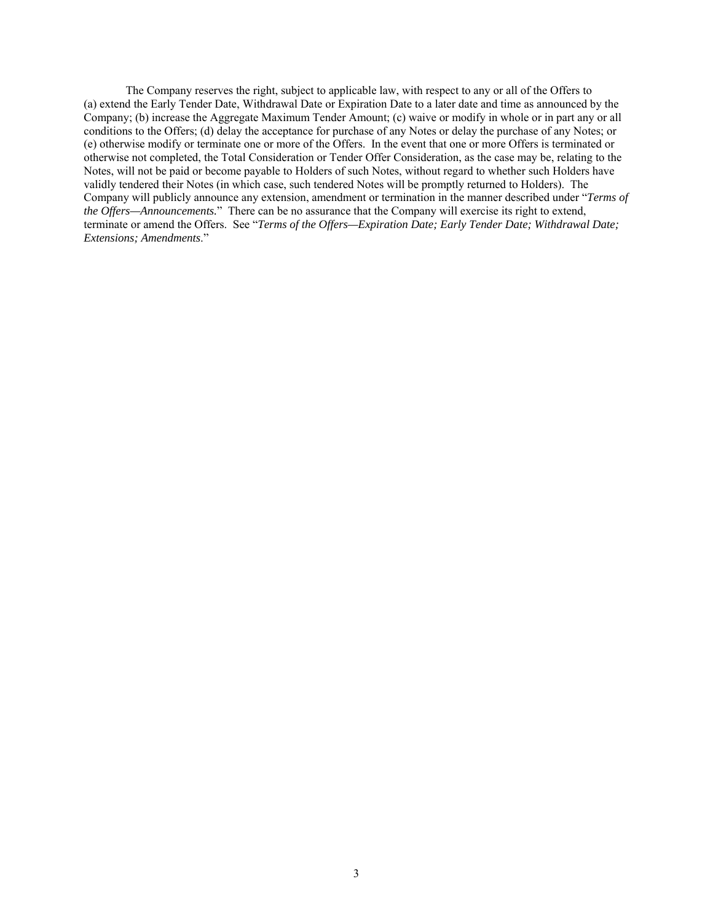The Company reserves the right, subject to applicable law, with respect to any or all of the Offers to (a) extend the Early Tender Date, Withdrawal Date or Expiration Date to a later date and time as announced by the Company; (b) increase the Aggregate Maximum Tender Amount; (c) waive or modify in whole or in part any or all conditions to the Offers; (d) delay the acceptance for purchase of any Notes or delay the purchase of any Notes; or (e) otherwise modify or terminate one or more of the Offers. In the event that one or more Offers is terminated or otherwise not completed, the Total Consideration or Tender Offer Consideration, as the case may be, relating to the Notes, will not be paid or become payable to Holders of such Notes, without regard to whether such Holders have validly tendered their Notes (in which case, such tendered Notes will be promptly returned to Holders). The Company will publicly announce any extension, amendment or termination in the manner described under "*Terms of the Offers—Announcements.*" There can be no assurance that the Company will exercise its right to extend, terminate or amend the Offers. See "*Terms of the Offers—Expiration Date; Early Tender Date; Withdrawal Date; Extensions; Amendments*."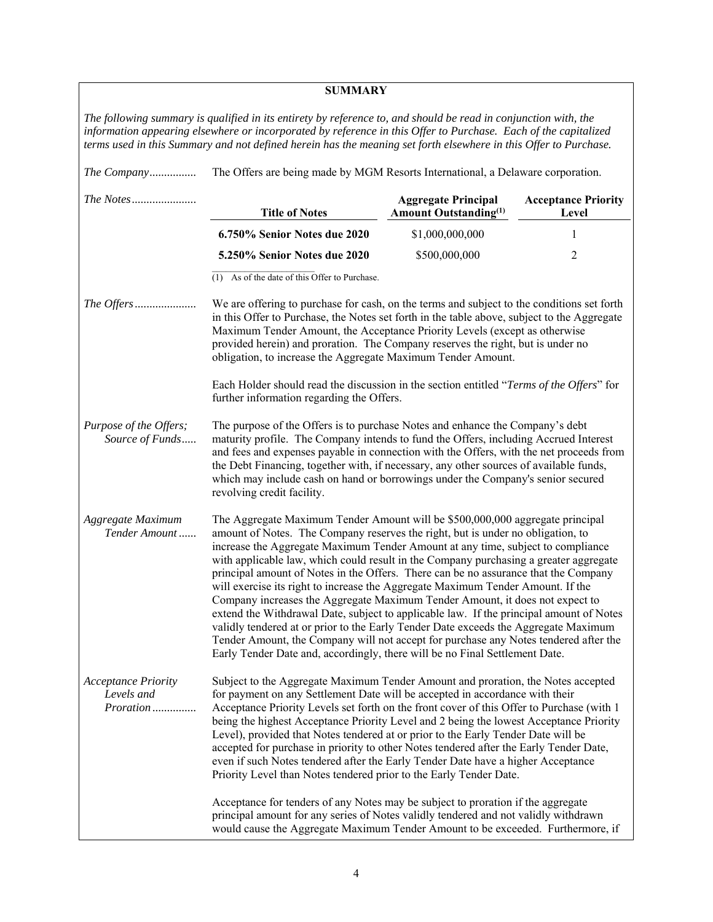| <b>SUMMARY</b>                                                                                                                                                                                                                                                                                                                                         |                                                                                                                                                                                                                                                                                                                                                                                                                                                                                                                                                                                                                                                                                                                                                                                                                                                                                                                                                                 |                                                                        |                                     |  |
|--------------------------------------------------------------------------------------------------------------------------------------------------------------------------------------------------------------------------------------------------------------------------------------------------------------------------------------------------------|-----------------------------------------------------------------------------------------------------------------------------------------------------------------------------------------------------------------------------------------------------------------------------------------------------------------------------------------------------------------------------------------------------------------------------------------------------------------------------------------------------------------------------------------------------------------------------------------------------------------------------------------------------------------------------------------------------------------------------------------------------------------------------------------------------------------------------------------------------------------------------------------------------------------------------------------------------------------|------------------------------------------------------------------------|-------------------------------------|--|
| The following summary is qualified in its entirety by reference to, and should be read in conjunction with, the<br>information appearing elsewhere or incorporated by reference in this Offer to Purchase. Each of the capitalized<br>terms used in this Summary and not defined herein has the meaning set forth elsewhere in this Offer to Purchase. |                                                                                                                                                                                                                                                                                                                                                                                                                                                                                                                                                                                                                                                                                                                                                                                                                                                                                                                                                                 |                                                                        |                                     |  |
| The Company                                                                                                                                                                                                                                                                                                                                            | The Offers are being made by MGM Resorts International, a Delaware corporation.                                                                                                                                                                                                                                                                                                                                                                                                                                                                                                                                                                                                                                                                                                                                                                                                                                                                                 |                                                                        |                                     |  |
|                                                                                                                                                                                                                                                                                                                                                        | <b>Title of Notes</b>                                                                                                                                                                                                                                                                                                                                                                                                                                                                                                                                                                                                                                                                                                                                                                                                                                                                                                                                           | <b>Aggregate Principal</b><br><b>Amount Outstanding</b> <sup>(1)</sup> | <b>Acceptance Priority</b><br>Level |  |
|                                                                                                                                                                                                                                                                                                                                                        | 6.750% Senior Notes due 2020                                                                                                                                                                                                                                                                                                                                                                                                                                                                                                                                                                                                                                                                                                                                                                                                                                                                                                                                    | \$1,000,000,000                                                        | 1                                   |  |
|                                                                                                                                                                                                                                                                                                                                                        | 5.250% Senior Notes due 2020                                                                                                                                                                                                                                                                                                                                                                                                                                                                                                                                                                                                                                                                                                                                                                                                                                                                                                                                    | \$500,000,000                                                          | 2                                   |  |
|                                                                                                                                                                                                                                                                                                                                                        | (1) As of the date of this Offer to Purchase.                                                                                                                                                                                                                                                                                                                                                                                                                                                                                                                                                                                                                                                                                                                                                                                                                                                                                                                   |                                                                        |                                     |  |
|                                                                                                                                                                                                                                                                                                                                                        | We are offering to purchase for cash, on the terms and subject to the conditions set forth<br>in this Offer to Purchase, the Notes set forth in the table above, subject to the Aggregate<br>Maximum Tender Amount, the Acceptance Priority Levels (except as otherwise<br>provided herein) and proration. The Company reserves the right, but is under no<br>obligation, to increase the Aggregate Maximum Tender Amount.                                                                                                                                                                                                                                                                                                                                                                                                                                                                                                                                      |                                                                        |                                     |  |
|                                                                                                                                                                                                                                                                                                                                                        | Each Holder should read the discussion in the section entitled "Terms of the Offers" for<br>further information regarding the Offers.                                                                                                                                                                                                                                                                                                                                                                                                                                                                                                                                                                                                                                                                                                                                                                                                                           |                                                                        |                                     |  |
| Purpose of the Offers;<br>Source of Funds                                                                                                                                                                                                                                                                                                              | The purpose of the Offers is to purchase Notes and enhance the Company's debt<br>maturity profile. The Company intends to fund the Offers, including Accrued Interest<br>and fees and expenses payable in connection with the Offers, with the net proceeds from<br>the Debt Financing, together with, if necessary, any other sources of available funds,<br>which may include cash on hand or borrowings under the Company's senior secured<br>revolving credit facility.                                                                                                                                                                                                                                                                                                                                                                                                                                                                                     |                                                                        |                                     |  |
| Aggregate Maximum<br>Tender Amount                                                                                                                                                                                                                                                                                                                     | The Aggregate Maximum Tender Amount will be \$500,000,000 aggregate principal<br>amount of Notes. The Company reserves the right, but is under no obligation, to<br>increase the Aggregate Maximum Tender Amount at any time, subject to compliance<br>with applicable law, which could result in the Company purchasing a greater aggregate<br>principal amount of Notes in the Offers. There can be no assurance that the Company<br>will exercise its right to increase the Aggregate Maximum Tender Amount. If the<br>Company increases the Aggregate Maximum Tender Amount, it does not expect to<br>extend the Withdrawal Date, subject to applicable law. If the principal amount of Notes<br>validly tendered at or prior to the Early Tender Date exceeds the Aggregate Maximum<br>Tender Amount, the Company will not accept for purchase any Notes tendered after the<br>Early Tender Date and, accordingly, there will be no Final Settlement Date. |                                                                        |                                     |  |
| <b>Acceptance Priority</b><br>Levels and<br>Proration                                                                                                                                                                                                                                                                                                  | Subject to the Aggregate Maximum Tender Amount and proration, the Notes accepted<br>for payment on any Settlement Date will be accepted in accordance with their<br>Acceptance Priority Levels set forth on the front cover of this Offer to Purchase (with 1<br>being the highest Acceptance Priority Level and 2 being the lowest Acceptance Priority<br>Level), provided that Notes tendered at or prior to the Early Tender Date will be<br>accepted for purchase in priority to other Notes tendered after the Early Tender Date,<br>even if such Notes tendered after the Early Tender Date have a higher Acceptance<br>Priority Level than Notes tendered prior to the Early Tender Date.                                                                                                                                                                                                                                                                |                                                                        |                                     |  |
| Acceptance for tenders of any Notes may be subject to proration if the aggregate<br>principal amount for any series of Notes validly tendered and not validly withdrawn<br>would cause the Aggregate Maximum Tender Amount to be exceeded. Furthermore, if                                                                                             |                                                                                                                                                                                                                                                                                                                                                                                                                                                                                                                                                                                                                                                                                                                                                                                                                                                                                                                                                                 |                                                                        |                                     |  |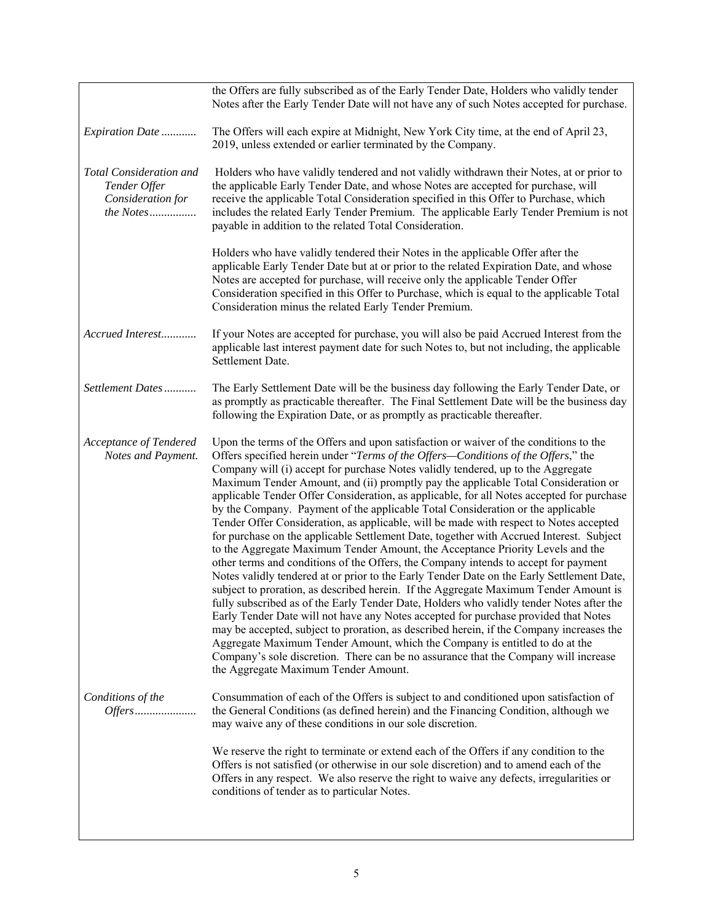|                                                                                  | the Offers are fully subscribed as of the Early Tender Date, Holders who validly tender<br>Notes after the Early Tender Date will not have any of such Notes accepted for purchase.                                                                                                                                                                                                                                                                                                                                                                                                                                                                                                                                                                                                                                                                                                                                                                                                                                                                                                                                                                                                                                                                                                                                                                                                                                                                                                                                                                                                  |
|----------------------------------------------------------------------------------|--------------------------------------------------------------------------------------------------------------------------------------------------------------------------------------------------------------------------------------------------------------------------------------------------------------------------------------------------------------------------------------------------------------------------------------------------------------------------------------------------------------------------------------------------------------------------------------------------------------------------------------------------------------------------------------------------------------------------------------------------------------------------------------------------------------------------------------------------------------------------------------------------------------------------------------------------------------------------------------------------------------------------------------------------------------------------------------------------------------------------------------------------------------------------------------------------------------------------------------------------------------------------------------------------------------------------------------------------------------------------------------------------------------------------------------------------------------------------------------------------------------------------------------------------------------------------------------|
| Expiration Date                                                                  | The Offers will each expire at Midnight, New York City time, at the end of April 23,<br>2019, unless extended or earlier terminated by the Company.                                                                                                                                                                                                                                                                                                                                                                                                                                                                                                                                                                                                                                                                                                                                                                                                                                                                                                                                                                                                                                                                                                                                                                                                                                                                                                                                                                                                                                  |
| <b>Total Consideration and</b><br>Tender Offer<br>Consideration for<br>the Notes | Holders who have validly tendered and not validly withdrawn their Notes, at or prior to<br>the applicable Early Tender Date, and whose Notes are accepted for purchase, will<br>receive the applicable Total Consideration specified in this Offer to Purchase, which<br>includes the related Early Tender Premium. The applicable Early Tender Premium is not<br>payable in addition to the related Total Consideration.                                                                                                                                                                                                                                                                                                                                                                                                                                                                                                                                                                                                                                                                                                                                                                                                                                                                                                                                                                                                                                                                                                                                                            |
|                                                                                  | Holders who have validly tendered their Notes in the applicable Offer after the<br>applicable Early Tender Date but at or prior to the related Expiration Date, and whose<br>Notes are accepted for purchase, will receive only the applicable Tender Offer<br>Consideration specified in this Offer to Purchase, which is equal to the applicable Total<br>Consideration minus the related Early Tender Premium.                                                                                                                                                                                                                                                                                                                                                                                                                                                                                                                                                                                                                                                                                                                                                                                                                                                                                                                                                                                                                                                                                                                                                                    |
| Accrued Interest                                                                 | If your Notes are accepted for purchase, you will also be paid Accrued Interest from the<br>applicable last interest payment date for such Notes to, but not including, the applicable<br>Settlement Date.                                                                                                                                                                                                                                                                                                                                                                                                                                                                                                                                                                                                                                                                                                                                                                                                                                                                                                                                                                                                                                                                                                                                                                                                                                                                                                                                                                           |
| Settlement Dates                                                                 | The Early Settlement Date will be the business day following the Early Tender Date, or<br>as promptly as practicable thereafter. The Final Settlement Date will be the business day<br>following the Expiration Date, or as promptly as practicable thereafter.                                                                                                                                                                                                                                                                                                                                                                                                                                                                                                                                                                                                                                                                                                                                                                                                                                                                                                                                                                                                                                                                                                                                                                                                                                                                                                                      |
| Acceptance of Tendered<br>Notes and Payment.                                     | Upon the terms of the Offers and upon satisfaction or waiver of the conditions to the<br>Offers specified herein under "Terms of the Offers-Conditions of the Offers," the<br>Company will (i) accept for purchase Notes validly tendered, up to the Aggregate<br>Maximum Tender Amount, and (ii) promptly pay the applicable Total Consideration or<br>applicable Tender Offer Consideration, as applicable, for all Notes accepted for purchase<br>by the Company. Payment of the applicable Total Consideration or the applicable<br>Tender Offer Consideration, as applicable, will be made with respect to Notes accepted<br>for purchase on the applicable Settlement Date, together with Accrued Interest. Subject<br>to the Aggregate Maximum Tender Amount, the Acceptance Priority Levels and the<br>other terms and conditions of the Offers, the Company intends to accept for payment<br>Notes validly tendered at or prior to the Early Tender Date on the Early Settlement Date,<br>subject to proration, as described herein. If the Aggregate Maximum Tender Amount is<br>fully subscribed as of the Early Tender Date, Holders who validly tender Notes after the<br>Early Tender Date will not have any Notes accepted for purchase provided that Notes<br>may be accepted, subject to proration, as described herein, if the Company increases the<br>Aggregate Maximum Tender Amount, which the Company is entitled to do at the<br>Company's sole discretion. There can be no assurance that the Company will increase<br>the Aggregate Maximum Tender Amount. |
| Conditions of the<br>Offers                                                      | Consummation of each of the Offers is subject to and conditioned upon satisfaction of<br>the General Conditions (as defined herein) and the Financing Condition, although we<br>may waive any of these conditions in our sole discretion.                                                                                                                                                                                                                                                                                                                                                                                                                                                                                                                                                                                                                                                                                                                                                                                                                                                                                                                                                                                                                                                                                                                                                                                                                                                                                                                                            |
|                                                                                  | We reserve the right to terminate or extend each of the Offers if any condition to the<br>Offers is not satisfied (or otherwise in our sole discretion) and to amend each of the<br>Offers in any respect. We also reserve the right to waive any defects, irregularities or<br>conditions of tender as to particular Notes.                                                                                                                                                                                                                                                                                                                                                                                                                                                                                                                                                                                                                                                                                                                                                                                                                                                                                                                                                                                                                                                                                                                                                                                                                                                         |
|                                                                                  |                                                                                                                                                                                                                                                                                                                                                                                                                                                                                                                                                                                                                                                                                                                                                                                                                                                                                                                                                                                                                                                                                                                                                                                                                                                                                                                                                                                                                                                                                                                                                                                      |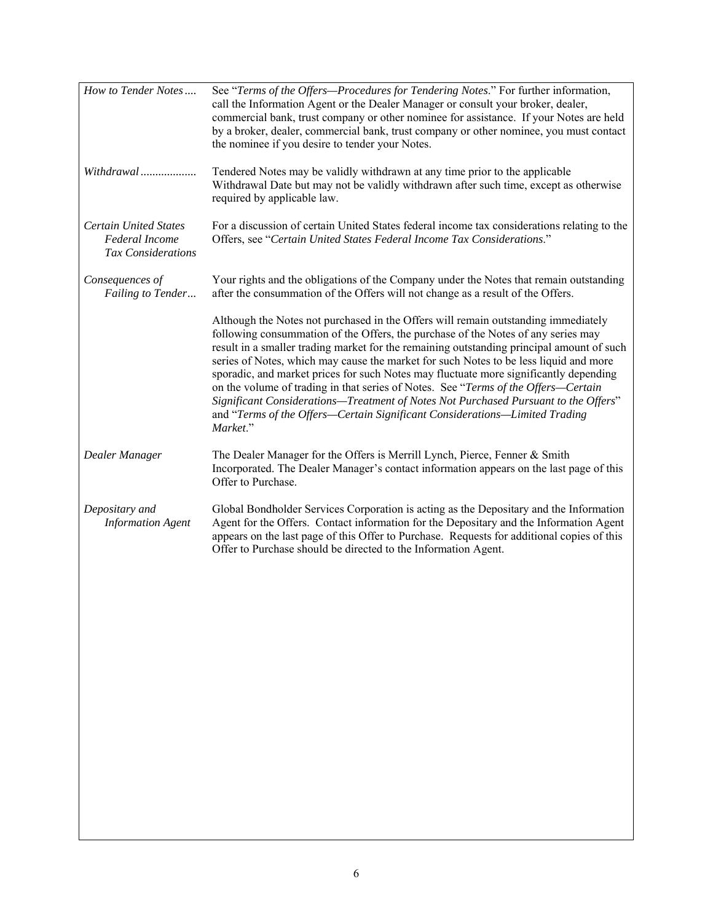| How to Tender Notes                                                         | See "Terms of the Offers-Procedures for Tendering Notes." For further information,<br>call the Information Agent or the Dealer Manager or consult your broker, dealer,<br>commercial bank, trust company or other nominee for assistance. If your Notes are held<br>by a broker, dealer, commercial bank, trust company or other nominee, you must contact<br>the nominee if you desire to tender your Notes.                                                                                                                                                                                                                                                                                                                  |
|-----------------------------------------------------------------------------|--------------------------------------------------------------------------------------------------------------------------------------------------------------------------------------------------------------------------------------------------------------------------------------------------------------------------------------------------------------------------------------------------------------------------------------------------------------------------------------------------------------------------------------------------------------------------------------------------------------------------------------------------------------------------------------------------------------------------------|
| Withdrawal                                                                  | Tendered Notes may be validly withdrawn at any time prior to the applicable<br>Withdrawal Date but may not be validly withdrawn after such time, except as otherwise<br>required by applicable law.                                                                                                                                                                                                                                                                                                                                                                                                                                                                                                                            |
| <b>Certain United States</b><br>Federal Income<br><b>Tax Considerations</b> | For a discussion of certain United States federal income tax considerations relating to the<br>Offers, see "Certain United States Federal Income Tax Considerations."                                                                                                                                                                                                                                                                                                                                                                                                                                                                                                                                                          |
| Consequences of<br>Failing to Tender                                        | Your rights and the obligations of the Company under the Notes that remain outstanding<br>after the consummation of the Offers will not change as a result of the Offers.                                                                                                                                                                                                                                                                                                                                                                                                                                                                                                                                                      |
|                                                                             | Although the Notes not purchased in the Offers will remain outstanding immediately<br>following consummation of the Offers, the purchase of the Notes of any series may<br>result in a smaller trading market for the remaining outstanding principal amount of such<br>series of Notes, which may cause the market for such Notes to be less liquid and more<br>sporadic, and market prices for such Notes may fluctuate more significantly depending<br>on the volume of trading in that series of Notes. See "Terms of the Offers-Certain<br>Significant Considerations-Treatment of Notes Not Purchased Pursuant to the Offers"<br>and "Terms of the Offers-Certain Significant Considerations-Limited Trading<br>Market." |
| Dealer Manager                                                              | The Dealer Manager for the Offers is Merrill Lynch, Pierce, Fenner & Smith<br>Incorporated. The Dealer Manager's contact information appears on the last page of this<br>Offer to Purchase.                                                                                                                                                                                                                                                                                                                                                                                                                                                                                                                                    |
| Depositary and<br><b>Information Agent</b>                                  | Global Bondholder Services Corporation is acting as the Depositary and the Information<br>Agent for the Offers. Contact information for the Depositary and the Information Agent<br>appears on the last page of this Offer to Purchase. Requests for additional copies of this<br>Offer to Purchase should be directed to the Information Agent.                                                                                                                                                                                                                                                                                                                                                                               |
|                                                                             |                                                                                                                                                                                                                                                                                                                                                                                                                                                                                                                                                                                                                                                                                                                                |
|                                                                             |                                                                                                                                                                                                                                                                                                                                                                                                                                                                                                                                                                                                                                                                                                                                |
|                                                                             |                                                                                                                                                                                                                                                                                                                                                                                                                                                                                                                                                                                                                                                                                                                                |
|                                                                             |                                                                                                                                                                                                                                                                                                                                                                                                                                                                                                                                                                                                                                                                                                                                |
|                                                                             |                                                                                                                                                                                                                                                                                                                                                                                                                                                                                                                                                                                                                                                                                                                                |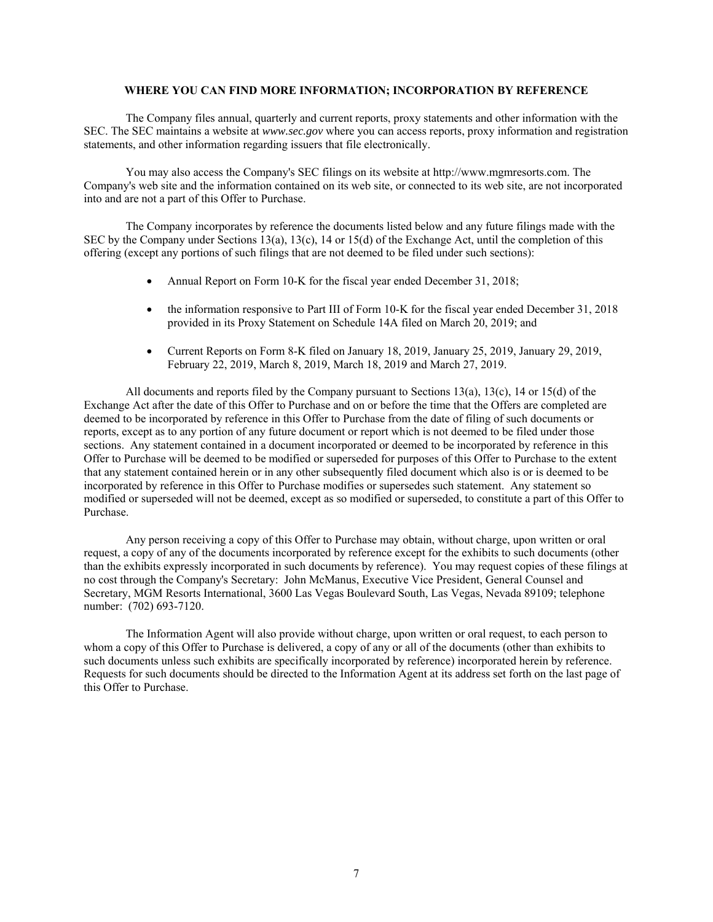# **WHERE YOU CAN FIND MORE INFORMATION; INCORPORATION BY REFERENCE**

The Company files annual, quarterly and current reports, proxy statements and other information with the SEC. The SEC maintains a website at *www.sec.gov* where you can access reports, proxy information and registration statements, and other information regarding issuers that file electronically.

You may also access the Company's SEC filings on its website at http://www.mgmresorts.com. The Company's web site and the information contained on its web site, or connected to its web site, are not incorporated into and are not a part of this Offer to Purchase.

The Company incorporates by reference the documents listed below and any future filings made with the SEC by the Company under Sections 13(a), 13(c), 14 or 15(d) of the Exchange Act, until the completion of this offering (except any portions of such filings that are not deemed to be filed under such sections):

- Annual Report on Form 10-K for the fiscal year ended December 31, 2018;
- the information responsive to Part III of Form 10-K for the fiscal year ended December 31, 2018 provided in its Proxy Statement on Schedule 14A filed on March 20, 2019; and
- Current Reports on Form 8-K filed on January 18, 2019, January 25, 2019, January 29, 2019, February 22, 2019, March 8, 2019, March 18, 2019 and March 27, 2019.

All documents and reports filed by the Company pursuant to Sections 13(a), 13(c), 14 or 15(d) of the Exchange Act after the date of this Offer to Purchase and on or before the time that the Offers are completed are deemed to be incorporated by reference in this Offer to Purchase from the date of filing of such documents or reports, except as to any portion of any future document or report which is not deemed to be filed under those sections. Any statement contained in a document incorporated or deemed to be incorporated by reference in this Offer to Purchase will be deemed to be modified or superseded for purposes of this Offer to Purchase to the extent that any statement contained herein or in any other subsequently filed document which also is or is deemed to be incorporated by reference in this Offer to Purchase modifies or supersedes such statement. Any statement so modified or superseded will not be deemed, except as so modified or superseded, to constitute a part of this Offer to Purchase.

Any person receiving a copy of this Offer to Purchase may obtain, without charge, upon written or oral request, a copy of any of the documents incorporated by reference except for the exhibits to such documents (other than the exhibits expressly incorporated in such documents by reference). You may request copies of these filings at no cost through the Company's Secretary: John McManus, Executive Vice President, General Counsel and Secretary, MGM Resorts International, 3600 Las Vegas Boulevard South, Las Vegas, Nevada 89109; telephone number: (702) 693-7120.

The Information Agent will also provide without charge, upon written or oral request, to each person to whom a copy of this Offer to Purchase is delivered, a copy of any or all of the documents (other than exhibits to such documents unless such exhibits are specifically incorporated by reference) incorporated herein by reference. Requests for such documents should be directed to the Information Agent at its address set forth on the last page of this Offer to Purchase.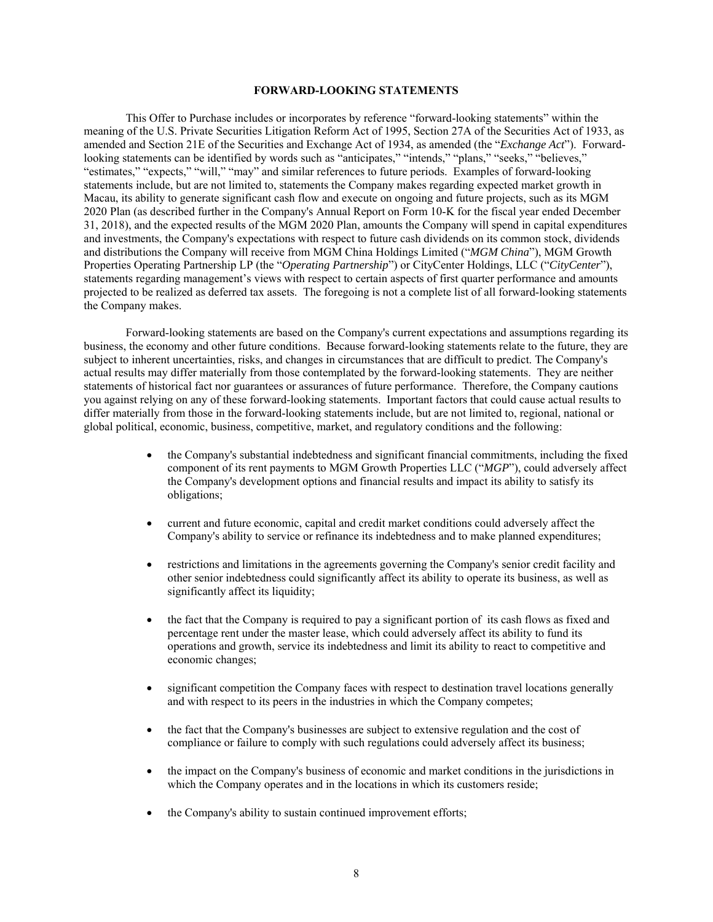# **FORWARD-LOOKING STATEMENTS**

This Offer to Purchase includes or incorporates by reference "forward-looking statements" within the meaning of the U.S. Private Securities Litigation Reform Act of 1995, Section 27A of the Securities Act of 1933, as amended and Section 21E of the Securities and Exchange Act of 1934, as amended (the "*Exchange Act*"). Forwardlooking statements can be identified by words such as "anticipates," "intends," "plans," "seeks," "believes," "estimates," "expects," "will," "may" and similar references to future periods. Examples of forward-looking statements include, but are not limited to, statements the Company makes regarding expected market growth in Macau, its ability to generate significant cash flow and execute on ongoing and future projects, such as its MGM 2020 Plan (as described further in the Company's Annual Report on Form 10-K for the fiscal year ended December 31, 2018), and the expected results of the MGM 2020 Plan, amounts the Company will spend in capital expenditures and investments, the Company's expectations with respect to future cash dividends on its common stock, dividends and distributions the Company will receive from MGM China Holdings Limited ("*MGM China*"), MGM Growth Properties Operating Partnership LP (the "*Operating Partnership*") or CityCenter Holdings, LLC ("*CityCenter*"), statements regarding management's views with respect to certain aspects of first quarter performance and amounts projected to be realized as deferred tax assets. The foregoing is not a complete list of all forward-looking statements the Company makes.

Forward-looking statements are based on the Company's current expectations and assumptions regarding its business, the economy and other future conditions. Because forward-looking statements relate to the future, they are subject to inherent uncertainties, risks, and changes in circumstances that are difficult to predict. The Company's actual results may differ materially from those contemplated by the forward-looking statements. They are neither statements of historical fact nor guarantees or assurances of future performance. Therefore, the Company cautions you against relying on any of these forward-looking statements. Important factors that could cause actual results to differ materially from those in the forward-looking statements include, but are not limited to, regional, national or global political, economic, business, competitive, market, and regulatory conditions and the following:

- the Company's substantial indebtedness and significant financial commitments, including the fixed component of its rent payments to MGM Growth Properties LLC ("*MGP*"), could adversely affect the Company's development options and financial results and impact its ability to satisfy its obligations;
- current and future economic, capital and credit market conditions could adversely affect the Company's ability to service or refinance its indebtedness and to make planned expenditures;
- restrictions and limitations in the agreements governing the Company's senior credit facility and other senior indebtedness could significantly affect its ability to operate its business, as well as significantly affect its liquidity;
- the fact that the Company is required to pay a significant portion of its cash flows as fixed and percentage rent under the master lease, which could adversely affect its ability to fund its operations and growth, service its indebtedness and limit its ability to react to competitive and economic changes;
- significant competition the Company faces with respect to destination travel locations generally and with respect to its peers in the industries in which the Company competes;
- the fact that the Company's businesses are subject to extensive regulation and the cost of compliance or failure to comply with such regulations could adversely affect its business;
- the impact on the Company's business of economic and market conditions in the jurisdictions in which the Company operates and in the locations in which its customers reside;
- the Company's ability to sustain continued improvement efforts;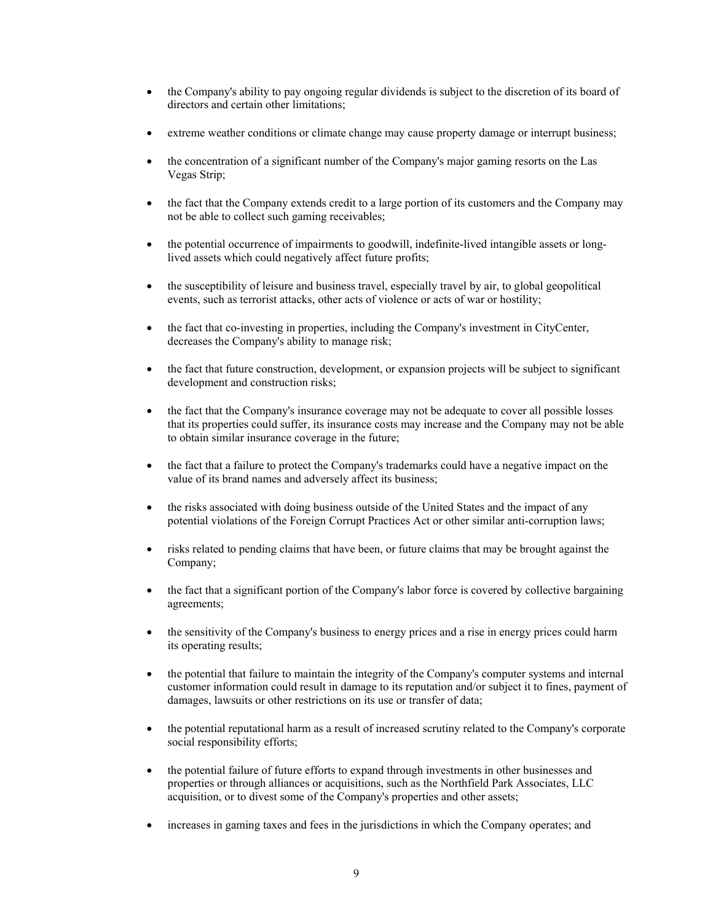- the Company's ability to pay ongoing regular dividends is subject to the discretion of its board of directors and certain other limitations;
- extreme weather conditions or climate change may cause property damage or interrupt business;
- the concentration of a significant number of the Company's major gaming resorts on the Las Vegas Strip;
- the fact that the Company extends credit to a large portion of its customers and the Company may not be able to collect such gaming receivables;
- the potential occurrence of impairments to goodwill, indefinite-lived intangible assets or longlived assets which could negatively affect future profits;
- the susceptibility of leisure and business travel, especially travel by air, to global geopolitical events, such as terrorist attacks, other acts of violence or acts of war or hostility;
- the fact that co-investing in properties, including the Company's investment in CityCenter, decreases the Company's ability to manage risk;
- the fact that future construction, development, or expansion projects will be subject to significant development and construction risks;
- the fact that the Company's insurance coverage may not be adequate to cover all possible losses that its properties could suffer, its insurance costs may increase and the Company may not be able to obtain similar insurance coverage in the future;
- the fact that a failure to protect the Company's trademarks could have a negative impact on the value of its brand names and adversely affect its business;
- the risks associated with doing business outside of the United States and the impact of any potential violations of the Foreign Corrupt Practices Act or other similar anti-corruption laws;
- risks related to pending claims that have been, or future claims that may be brought against the Company;
- the fact that a significant portion of the Company's labor force is covered by collective bargaining agreements;
- the sensitivity of the Company's business to energy prices and a rise in energy prices could harm its operating results;
- the potential that failure to maintain the integrity of the Company's computer systems and internal customer information could result in damage to its reputation and/or subject it to fines, payment of damages, lawsuits or other restrictions on its use or transfer of data;
- the potential reputational harm as a result of increased scrutiny related to the Company's corporate social responsibility efforts;
- the potential failure of future efforts to expand through investments in other businesses and properties or through alliances or acquisitions, such as the Northfield Park Associates, LLC acquisition, or to divest some of the Company's properties and other assets;
- increases in gaming taxes and fees in the jurisdictions in which the Company operates; and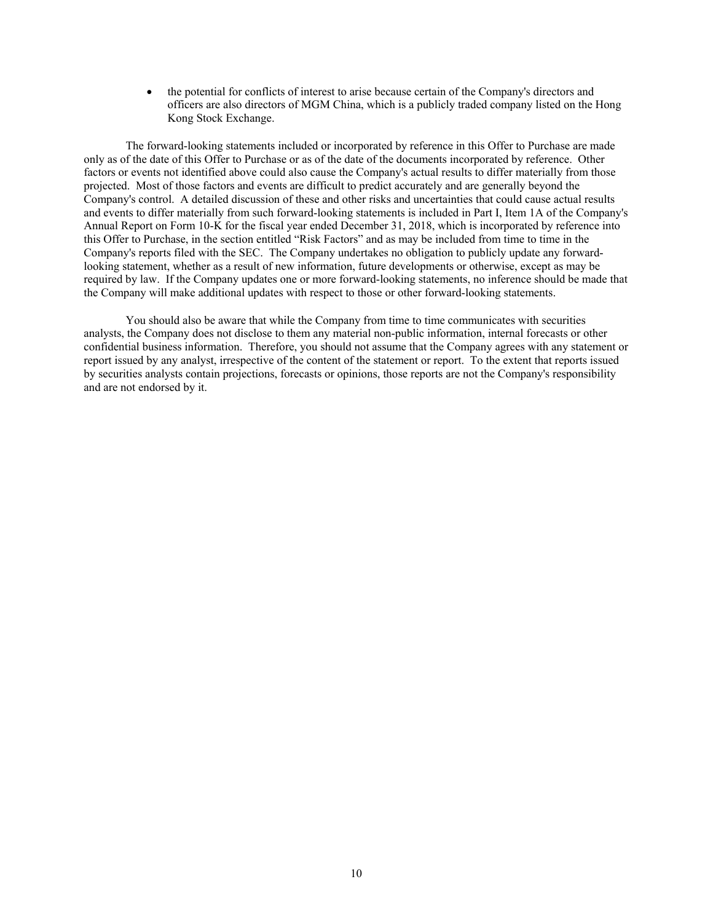the potential for conflicts of interest to arise because certain of the Company's directors and officers are also directors of MGM China, which is a publicly traded company listed on the Hong Kong Stock Exchange.

The forward-looking statements included or incorporated by reference in this Offer to Purchase are made only as of the date of this Offer to Purchase or as of the date of the documents incorporated by reference. Other factors or events not identified above could also cause the Company's actual results to differ materially from those projected. Most of those factors and events are difficult to predict accurately and are generally beyond the Company's control. A detailed discussion of these and other risks and uncertainties that could cause actual results and events to differ materially from such forward-looking statements is included in Part I, Item 1A of the Company's Annual Report on Form 10-K for the fiscal year ended December 31, 2018, which is incorporated by reference into this Offer to Purchase, in the section entitled "Risk Factors" and as may be included from time to time in the Company's reports filed with the SEC. The Company undertakes no obligation to publicly update any forwardlooking statement, whether as a result of new information, future developments or otherwise, except as may be required by law. If the Company updates one or more forward-looking statements, no inference should be made that the Company will make additional updates with respect to those or other forward-looking statements.

You should also be aware that while the Company from time to time communicates with securities analysts, the Company does not disclose to them any material non-public information, internal forecasts or other confidential business information. Therefore, you should not assume that the Company agrees with any statement or report issued by any analyst, irrespective of the content of the statement or report. To the extent that reports issued by securities analysts contain projections, forecasts or opinions, those reports are not the Company's responsibility and are not endorsed by it.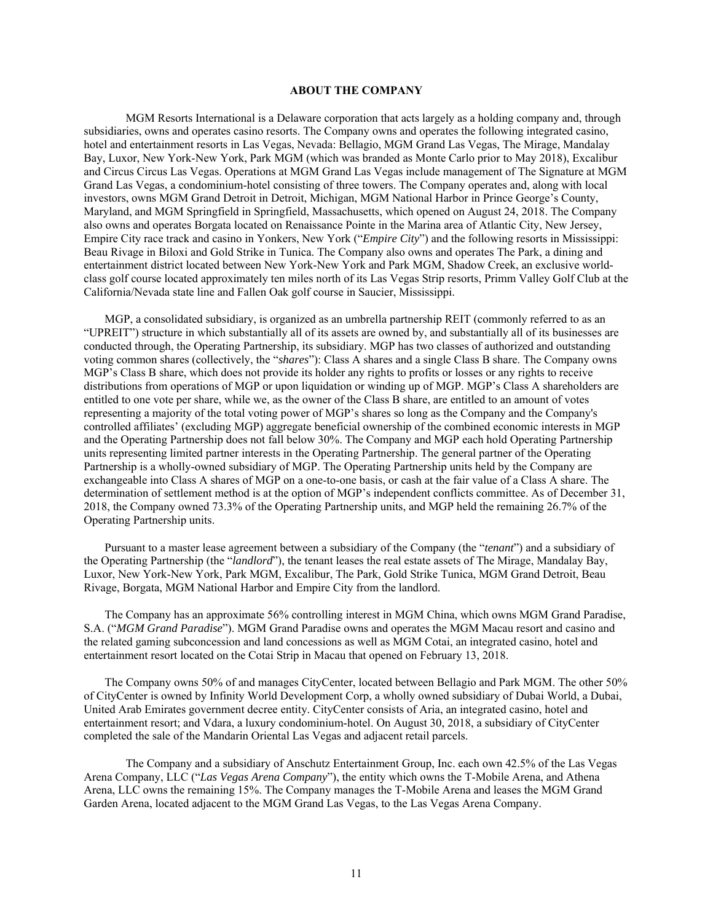# **ABOUT THE COMPANY**

MGM Resorts International is a Delaware corporation that acts largely as a holding company and, through subsidiaries, owns and operates casino resorts. The Company owns and operates the following integrated casino, hotel and entertainment resorts in Las Vegas, Nevada: Bellagio, MGM Grand Las Vegas, The Mirage, Mandalay Bay, Luxor, New York-New York, Park MGM (which was branded as Monte Carlo prior to May 2018), Excalibur and Circus Circus Las Vegas. Operations at MGM Grand Las Vegas include management of The Signature at MGM Grand Las Vegas, a condominium-hotel consisting of three towers. The Company operates and, along with local investors, owns MGM Grand Detroit in Detroit, Michigan, MGM National Harbor in Prince George's County, Maryland, and MGM Springfield in Springfield, Massachusetts, which opened on August 24, 2018. The Company also owns and operates Borgata located on Renaissance Pointe in the Marina area of Atlantic City, New Jersey, Empire City race track and casino in Yonkers, New York ("*Empire City*") and the following resorts in Mississippi: Beau Rivage in Biloxi and Gold Strike in Tunica. The Company also owns and operates The Park, a dining and entertainment district located between New York-New York and Park MGM, Shadow Creek, an exclusive worldclass golf course located approximately ten miles north of its Las Vegas Strip resorts, Primm Valley Golf Club at the California/Nevada state line and Fallen Oak golf course in Saucier, Mississippi.

MGP, a consolidated subsidiary, is organized as an umbrella partnership REIT (commonly referred to as an "UPREIT") structure in which substantially all of its assets are owned by, and substantially all of its businesses are conducted through, the Operating Partnership, its subsidiary. MGP has two classes of authorized and outstanding voting common shares (collectively, the "*shares*"): Class A shares and a single Class B share. The Company owns MGP's Class B share, which does not provide its holder any rights to profits or losses or any rights to receive distributions from operations of MGP or upon liquidation or winding up of MGP. MGP's Class A shareholders are entitled to one vote per share, while we, as the owner of the Class B share, are entitled to an amount of votes representing a majority of the total voting power of MGP's shares so long as the Company and the Company's controlled affiliates' (excluding MGP) aggregate beneficial ownership of the combined economic interests in MGP and the Operating Partnership does not fall below 30%. The Company and MGP each hold Operating Partnership units representing limited partner interests in the Operating Partnership. The general partner of the Operating Partnership is a wholly-owned subsidiary of MGP. The Operating Partnership units held by the Company are exchangeable into Class A shares of MGP on a one-to-one basis, or cash at the fair value of a Class A share. The determination of settlement method is at the option of MGP's independent conflicts committee. As of December 31, 2018, the Company owned 73.3% of the Operating Partnership units, and MGP held the remaining 26.7% of the Operating Partnership units.

Pursuant to a master lease agreement between a subsidiary of the Company (the "*tenant*") and a subsidiary of the Operating Partnership (the "*landlord*"), the tenant leases the real estate assets of The Mirage, Mandalay Bay, Luxor, New York-New York, Park MGM, Excalibur, The Park, Gold Strike Tunica, MGM Grand Detroit, Beau Rivage, Borgata, MGM National Harbor and Empire City from the landlord.

The Company has an approximate 56% controlling interest in MGM China, which owns MGM Grand Paradise, S.A. ("*MGM Grand Paradise*"). MGM Grand Paradise owns and operates the MGM Macau resort and casino and the related gaming subconcession and land concessions as well as MGM Cotai, an integrated casino, hotel and entertainment resort located on the Cotai Strip in Macau that opened on February 13, 2018.

The Company owns 50% of and manages CityCenter, located between Bellagio and Park MGM. The other 50% of CityCenter is owned by Infinity World Development Corp, a wholly owned subsidiary of Dubai World, a Dubai, United Arab Emirates government decree entity. CityCenter consists of Aria, an integrated casino, hotel and entertainment resort; and Vdara, a luxury condominium-hotel. On August 30, 2018, a subsidiary of CityCenter completed the sale of the Mandarin Oriental Las Vegas and adjacent retail parcels.

The Company and a subsidiary of Anschutz Entertainment Group, Inc. each own 42.5% of the Las Vegas Arena Company, LLC ("*Las Vegas Arena Company*"), the entity which owns the T-Mobile Arena, and Athena Arena, LLC owns the remaining 15%. The Company manages the T-Mobile Arena and leases the MGM Grand Garden Arena, located adjacent to the MGM Grand Las Vegas, to the Las Vegas Arena Company.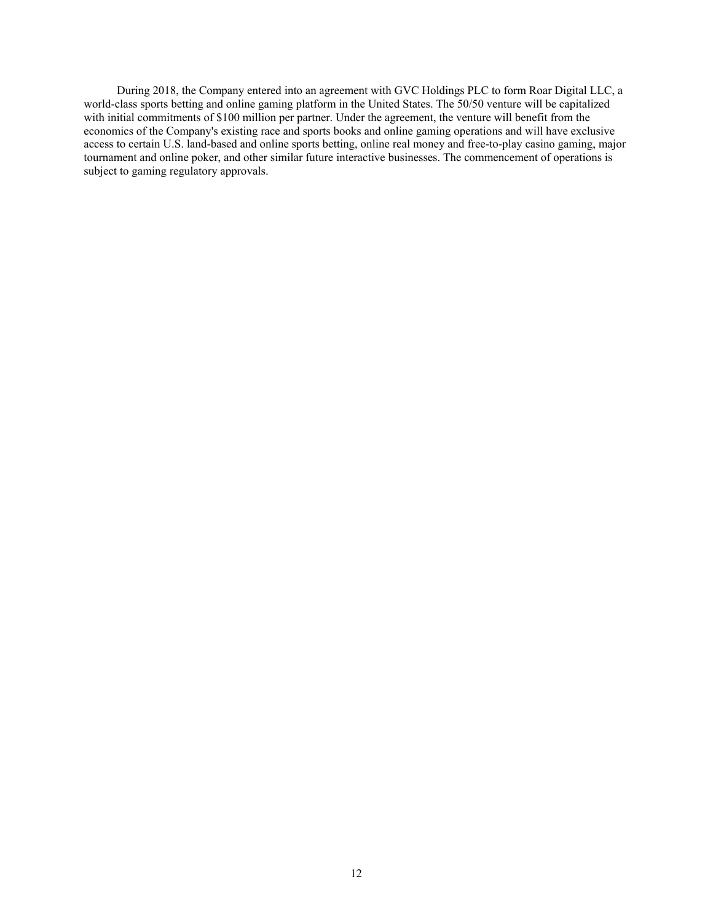During 2018, the Company entered into an agreement with GVC Holdings PLC to form Roar Digital LLC, a world-class sports betting and online gaming platform in the United States. The 50/50 venture will be capitalized with initial commitments of \$100 million per partner. Under the agreement, the venture will benefit from the economics of the Company's existing race and sports books and online gaming operations and will have exclusive access to certain U.S. land-based and online sports betting, online real money and free-to-play casino gaming, major tournament and online poker, and other similar future interactive businesses. The commencement of operations is subject to gaming regulatory approvals.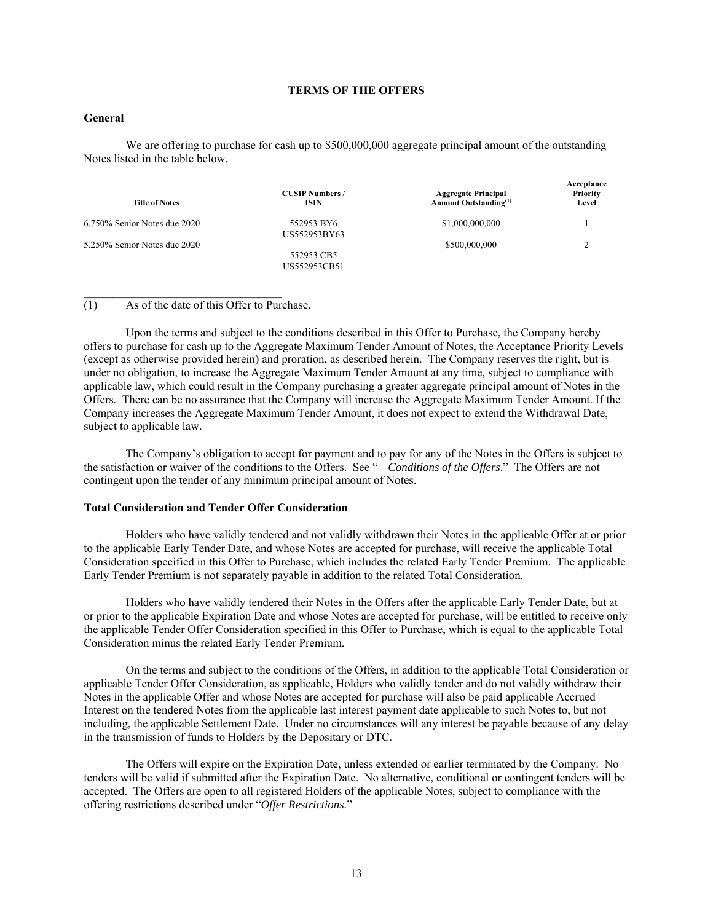# **TERMS OF THE OFFERS**

## **General**

We are offering to purchase for cash up to \$500,000,000 aggregate principal amount of the outstanding Notes listed in the table below.

| <b>Title of Notes</b>        | <b>CUSIP Numbers /</b><br>ISIN | <b>Aggregate Principal</b><br><b>Amount Outstanding</b> <sup>(1)</sup> | Acceptance<br><b>Priority</b><br>Level |
|------------------------------|--------------------------------|------------------------------------------------------------------------|----------------------------------------|
| 6.750% Senior Notes due 2020 | 552953 BY6<br>US552953BY63     | \$1,000,000,000                                                        |                                        |
| 5.250% Senior Notes due 2020 | 552953 CB5<br>US552953CB51     | \$500,000,000                                                          | ↑                                      |

(1) As of the date of this Offer to Purchase.

Upon the terms and subject to the conditions described in this Offer to Purchase, the Company hereby offers to purchase for cash up to the Aggregate Maximum Tender Amount of Notes, the Acceptance Priority Levels (except as otherwise provided herein) and proration, as described herein. The Company reserves the right, but is under no obligation, to increase the Aggregate Maximum Tender Amount at any time, subject to compliance with applicable law, which could result in the Company purchasing a greater aggregate principal amount of Notes in the Offers. There can be no assurance that the Company will increase the Aggregate Maximum Tender Amount. If the Company increases the Aggregate Maximum Tender Amount, it does not expect to extend the Withdrawal Date, subject to applicable law.

The Company's obligation to accept for payment and to pay for any of the Notes in the Offers is subject to the satisfaction or waiver of the conditions to the Offers. See "*—Conditions of the Offers*." The Offers are not contingent upon the tender of any minimum principal amount of Notes.

## **Total Consideration and Tender Offer Consideration**

Holders who have validly tendered and not validly withdrawn their Notes in the applicable Offer at or prior to the applicable Early Tender Date, and whose Notes are accepted for purchase, will receive the applicable Total Consideration specified in this Offer to Purchase, which includes the related Early Tender Premium. The applicable Early Tender Premium is not separately payable in addition to the related Total Consideration.

Holders who have validly tendered their Notes in the Offers after the applicable Early Tender Date, but at or prior to the applicable Expiration Date and whose Notes are accepted for purchase, will be entitled to receive only the applicable Tender Offer Consideration specified in this Offer to Purchase, which is equal to the applicable Total Consideration minus the related Early Tender Premium.

On the terms and subject to the conditions of the Offers, in addition to the applicable Total Consideration or applicable Tender Offer Consideration, as applicable, Holders who validly tender and do not validly withdraw their Notes in the applicable Offer and whose Notes are accepted for purchase will also be paid applicable Accrued Interest on the tendered Notes from the applicable last interest payment date applicable to such Notes to, but not including, the applicable Settlement Date. Under no circumstances will any interest be payable because of any delay in the transmission of funds to Holders by the Depositary or DTC.

The Offers will expire on the Expiration Date, unless extended or earlier terminated by the Company. No tenders will be valid if submitted after the Expiration Date. No alternative, conditional or contingent tenders will be accepted. The Offers are open to all registered Holders of the applicable Notes, subject to compliance with the offering restrictions described under "*Offer Restrictions.*"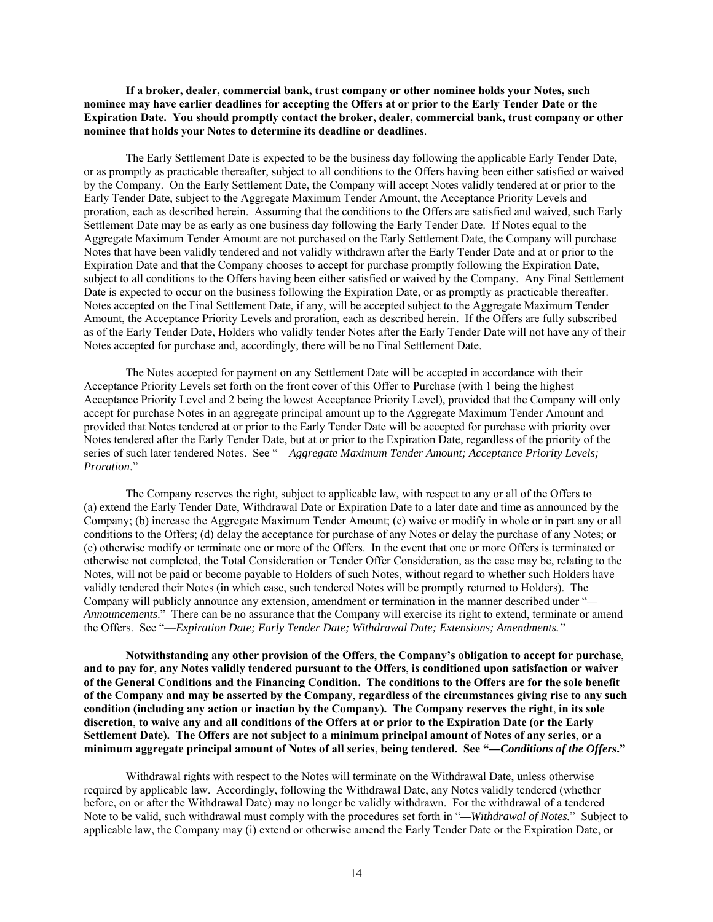**If a broker, dealer, commercial bank, trust company or other nominee holds your Notes, such nominee may have earlier deadlines for accepting the Offers at or prior to the Early Tender Date or the Expiration Date. You should promptly contact the broker, dealer, commercial bank, trust company or other nominee that holds your Notes to determine its deadline or deadlines**.

The Early Settlement Date is expected to be the business day following the applicable Early Tender Date, or as promptly as practicable thereafter, subject to all conditions to the Offers having been either satisfied or waived by the Company. On the Early Settlement Date, the Company will accept Notes validly tendered at or prior to the Early Tender Date, subject to the Aggregate Maximum Tender Amount, the Acceptance Priority Levels and proration, each as described herein. Assuming that the conditions to the Offers are satisfied and waived, such Early Settlement Date may be as early as one business day following the Early Tender Date. If Notes equal to the Aggregate Maximum Tender Amount are not purchased on the Early Settlement Date, the Company will purchase Notes that have been validly tendered and not validly withdrawn after the Early Tender Date and at or prior to the Expiration Date and that the Company chooses to accept for purchase promptly following the Expiration Date, subject to all conditions to the Offers having been either satisfied or waived by the Company. Any Final Settlement Date is expected to occur on the business following the Expiration Date, or as promptly as practicable thereafter. Notes accepted on the Final Settlement Date, if any, will be accepted subject to the Aggregate Maximum Tender Amount, the Acceptance Priority Levels and proration, each as described herein. If the Offers are fully subscribed as of the Early Tender Date, Holders who validly tender Notes after the Early Tender Date will not have any of their Notes accepted for purchase and, accordingly, there will be no Final Settlement Date.

The Notes accepted for payment on any Settlement Date will be accepted in accordance with their Acceptance Priority Levels set forth on the front cover of this Offer to Purchase (with 1 being the highest Acceptance Priority Level and 2 being the lowest Acceptance Priority Level), provided that the Company will only accept for purchase Notes in an aggregate principal amount up to the Aggregate Maximum Tender Amount and provided that Notes tendered at or prior to the Early Tender Date will be accepted for purchase with priority over Notes tendered after the Early Tender Date, but at or prior to the Expiration Date, regardless of the priority of the series of such later tendered Notes. See "—*Aggregate Maximum Tender Amount; Acceptance Priority Levels; Proration*."

The Company reserves the right, subject to applicable law, with respect to any or all of the Offers to (a) extend the Early Tender Date, Withdrawal Date or Expiration Date to a later date and time as announced by the Company; (b) increase the Aggregate Maximum Tender Amount; (c) waive or modify in whole or in part any or all conditions to the Offers; (d) delay the acceptance for purchase of any Notes or delay the purchase of any Notes; or (e) otherwise modify or terminate one or more of the Offers. In the event that one or more Offers is terminated or otherwise not completed, the Total Consideration or Tender Offer Consideration, as the case may be, relating to the Notes, will not be paid or become payable to Holders of such Notes, without regard to whether such Holders have validly tendered their Notes (in which case, such tendered Notes will be promptly returned to Holders). The Company will publicly announce any extension, amendment or termination in the manner described under "*— Announcements*." There can be no assurance that the Company will exercise its right to extend, terminate or amend the Offers. See "—*Expiration Date; Early Tender Date; Withdrawal Date; Extensions; Amendments."*

**Notwithstanding any other provision of the Offers**, **the Company's obligation to accept for purchase**, **and to pay for**, **any Notes validly tendered pursuant to the Offers**, **is conditioned upon satisfaction or waiver of the General Conditions and the Financing Condition. The conditions to the Offers are for the sole benefit of the Company and may be asserted by the Company**, **regardless of the circumstances giving rise to any such condition (including any action or inaction by the Company). The Company reserves the right**, **in its sole discretion**, **to waive any and all conditions of the Offers at or prior to the Expiration Date (or the Early Settlement Date). The Offers are not subject to a minimum principal amount of Notes of any series**, **or a minimum aggregate principal amount of Notes of all series**, **being tendered. See "***—Conditions of the Offers***."** 

Withdrawal rights with respect to the Notes will terminate on the Withdrawal Date, unless otherwise required by applicable law. Accordingly, following the Withdrawal Date, any Notes validly tendered (whether before, on or after the Withdrawal Date) may no longer be validly withdrawn. For the withdrawal of a tendered Note to be valid, such withdrawal must comply with the procedures set forth in "*—Withdrawal of Notes.*" Subject to applicable law, the Company may (i) extend or otherwise amend the Early Tender Date or the Expiration Date, or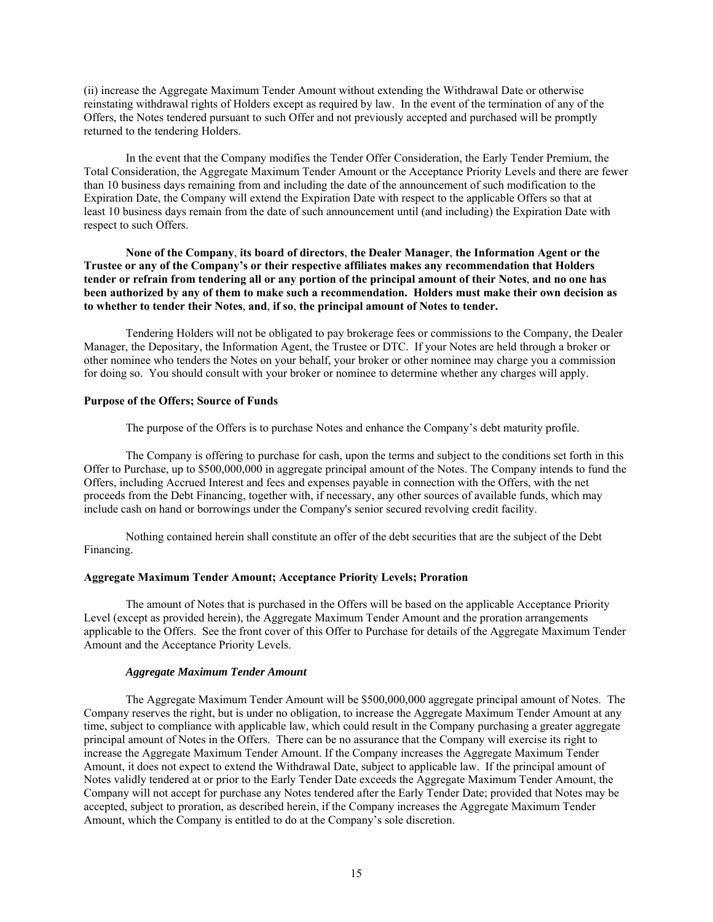(ii) increase the Aggregate Maximum Tender Amount without extending the Withdrawal Date or otherwise reinstating withdrawal rights of Holders except as required by law. In the event of the termination of any of the Offers, the Notes tendered pursuant to such Offer and not previously accepted and purchased will be promptly returned to the tendering Holders.

In the event that the Company modifies the Tender Offer Consideration, the Early Tender Premium, the Total Consideration, the Aggregate Maximum Tender Amount or the Acceptance Priority Levels and there are fewer than 10 business days remaining from and including the date of the announcement of such modification to the Expiration Date, the Company will extend the Expiration Date with respect to the applicable Offers so that at least 10 business days remain from the date of such announcement until (and including) the Expiration Date with respect to such Offers.

**None of the Company**, **its board of directors**, **the Dealer Manager**, **the Information Agent or the Trustee or any of the Company's or their respective affiliates makes any recommendation that Holders tender or refrain from tendering all or any portion of the principal amount of their Notes**, **and no one has been authorized by any of them to make such a recommendation. Holders must make their own decision as to whether to tender their Notes**, **and**, **if so**, **the principal amount of Notes to tender.** 

Tendering Holders will not be obligated to pay brokerage fees or commissions to the Company, the Dealer Manager, the Depositary, the Information Agent, the Trustee or DTC. If your Notes are held through a broker or other nominee who tenders the Notes on your behalf, your broker or other nominee may charge you a commission for doing so. You should consult with your broker or nominee to determine whether any charges will apply.

# **Purpose of the Offers; Source of Funds**

The purpose of the Offers is to purchase Notes and enhance the Company's debt maturity profile.

The Company is offering to purchase for cash, upon the terms and subject to the conditions set forth in this Offer to Purchase, up to \$500,000,000 in aggregate principal amount of the Notes. The Company intends to fund the Offers, including Accrued Interest and fees and expenses payable in connection with the Offers, with the net proceeds from the Debt Financing, together with, if necessary, any other sources of available funds, which may include cash on hand or borrowings under the Company's senior secured revolving credit facility.

Nothing contained herein shall constitute an offer of the debt securities that are the subject of the Debt Financing.

## **Aggregate Maximum Tender Amount; Acceptance Priority Levels; Proration**

The amount of Notes that is purchased in the Offers will be based on the applicable Acceptance Priority Level (except as provided herein), the Aggregate Maximum Tender Amount and the proration arrangements applicable to the Offers. See the front cover of this Offer to Purchase for details of the Aggregate Maximum Tender Amount and the Acceptance Priority Levels.

### *Aggregate Maximum Tender Amount*

The Aggregate Maximum Tender Amount will be \$500,000,000 aggregate principal amount of Notes. The Company reserves the right, but is under no obligation, to increase the Aggregate Maximum Tender Amount at any time, subject to compliance with applicable law, which could result in the Company purchasing a greater aggregate principal amount of Notes in the Offers. There can be no assurance that the Company will exercise its right to increase the Aggregate Maximum Tender Amount. If the Company increases the Aggregate Maximum Tender Amount, it does not expect to extend the Withdrawal Date, subject to applicable law. If the principal amount of Notes validly tendered at or prior to the Early Tender Date exceeds the Aggregate Maximum Tender Amount, the Company will not accept for purchase any Notes tendered after the Early Tender Date; provided that Notes may be accepted, subject to proration, as described herein, if the Company increases the Aggregate Maximum Tender Amount, which the Company is entitled to do at the Company's sole discretion.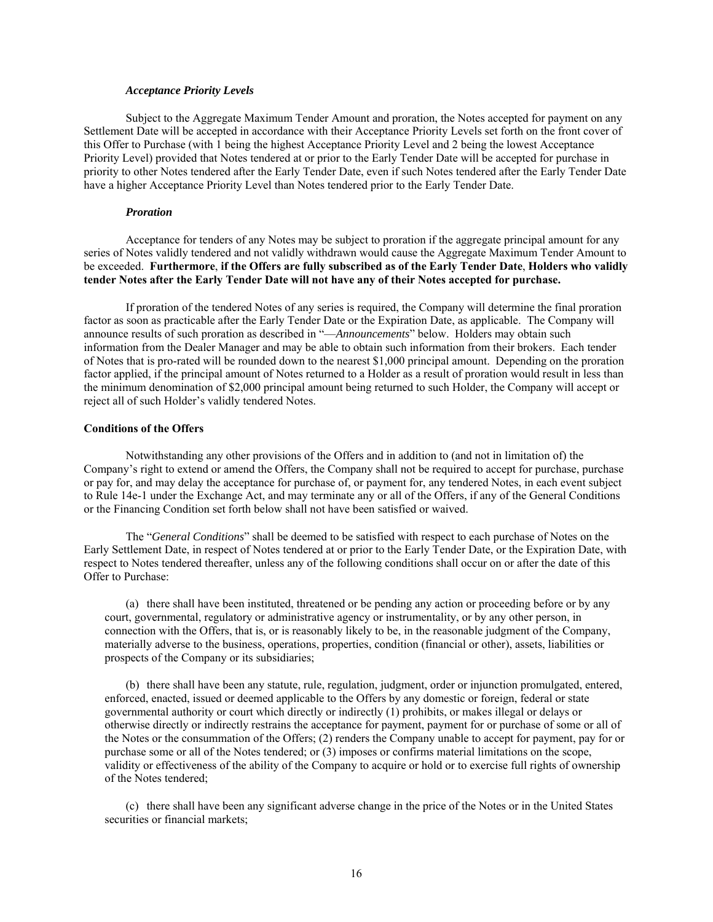## *Acceptance Priority Levels*

Subject to the Aggregate Maximum Tender Amount and proration, the Notes accepted for payment on any Settlement Date will be accepted in accordance with their Acceptance Priority Levels set forth on the front cover of this Offer to Purchase (with 1 being the highest Acceptance Priority Level and 2 being the lowest Acceptance Priority Level) provided that Notes tendered at or prior to the Early Tender Date will be accepted for purchase in priority to other Notes tendered after the Early Tender Date, even if such Notes tendered after the Early Tender Date have a higher Acceptance Priority Level than Notes tendered prior to the Early Tender Date.

## *Proration*

Acceptance for tenders of any Notes may be subject to proration if the aggregate principal amount for any series of Notes validly tendered and not validly withdrawn would cause the Aggregate Maximum Tender Amount to be exceeded. **Furthermore**, **if the Offers are fully subscribed as of the Early Tender Date**, **Holders who validly tender Notes after the Early Tender Date will not have any of their Notes accepted for purchase.** 

If proration of the tendered Notes of any series is required, the Company will determine the final proration factor as soon as practicable after the Early Tender Date or the Expiration Date, as applicable. The Company will announce results of such proration as described in "—*Announcements*" below. Holders may obtain such information from the Dealer Manager and may be able to obtain such information from their brokers. Each tender of Notes that is pro-rated will be rounded down to the nearest \$1,000 principal amount. Depending on the proration factor applied, if the principal amount of Notes returned to a Holder as a result of proration would result in less than the minimum denomination of \$2,000 principal amount being returned to such Holder, the Company will accept or reject all of such Holder's validly tendered Notes.

## **Conditions of the Offers**

Notwithstanding any other provisions of the Offers and in addition to (and not in limitation of) the Company's right to extend or amend the Offers, the Company shall not be required to accept for purchase, purchase or pay for, and may delay the acceptance for purchase of, or payment for, any tendered Notes, in each event subject to Rule 14e-1 under the Exchange Act, and may terminate any or all of the Offers, if any of the General Conditions or the Financing Condition set forth below shall not have been satisfied or waived.

The "*General Conditions*" shall be deemed to be satisfied with respect to each purchase of Notes on the Early Settlement Date, in respect of Notes tendered at or prior to the Early Tender Date, or the Expiration Date, with respect to Notes tendered thereafter, unless any of the following conditions shall occur on or after the date of this Offer to Purchase:

(a) there shall have been instituted, threatened or be pending any action or proceeding before or by any court, governmental, regulatory or administrative agency or instrumentality, or by any other person, in connection with the Offers, that is, or is reasonably likely to be, in the reasonable judgment of the Company, materially adverse to the business, operations, properties, condition (financial or other), assets, liabilities or prospects of the Company or its subsidiaries;

(b) there shall have been any statute, rule, regulation, judgment, order or injunction promulgated, entered, enforced, enacted, issued or deemed applicable to the Offers by any domestic or foreign, federal or state governmental authority or court which directly or indirectly (1) prohibits, or makes illegal or delays or otherwise directly or indirectly restrains the acceptance for payment, payment for or purchase of some or all of the Notes or the consummation of the Offers; (2) renders the Company unable to accept for payment, pay for or purchase some or all of the Notes tendered; or (3) imposes or confirms material limitations on the scope, validity or effectiveness of the ability of the Company to acquire or hold or to exercise full rights of ownership of the Notes tendered;

(c) there shall have been any significant adverse change in the price of the Notes or in the United States securities or financial markets;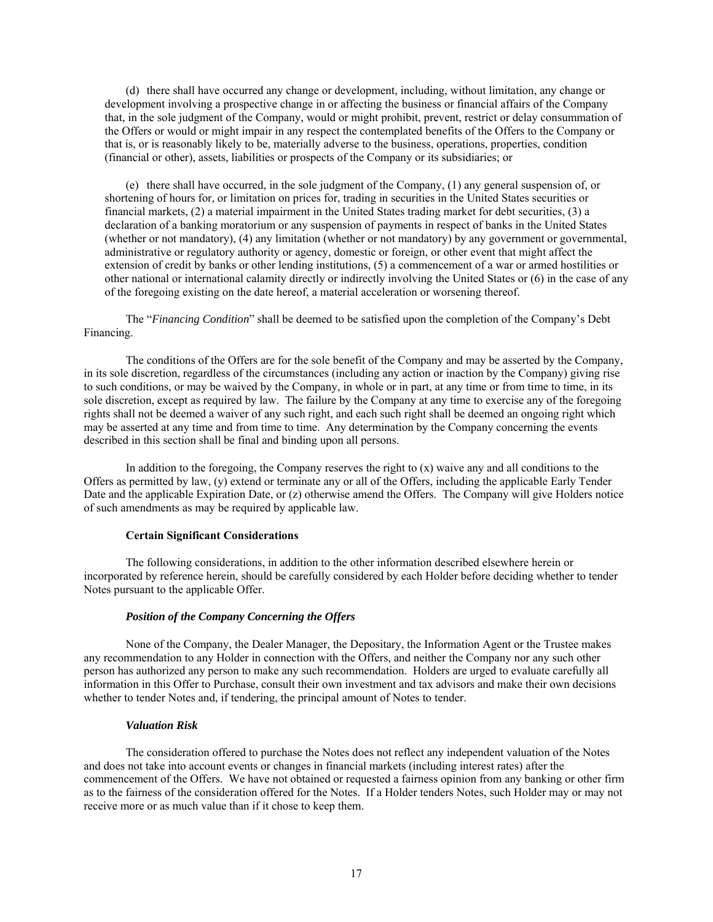(d) there shall have occurred any change or development, including, without limitation, any change or development involving a prospective change in or affecting the business or financial affairs of the Company that, in the sole judgment of the Company, would or might prohibit, prevent, restrict or delay consummation of the Offers or would or might impair in any respect the contemplated benefits of the Offers to the Company or that is, or is reasonably likely to be, materially adverse to the business, operations, properties, condition (financial or other), assets, liabilities or prospects of the Company or its subsidiaries; or

(e) there shall have occurred, in the sole judgment of the Company, (1) any general suspension of, or shortening of hours for, or limitation on prices for, trading in securities in the United States securities or financial markets, (2) a material impairment in the United States trading market for debt securities, (3) a declaration of a banking moratorium or any suspension of payments in respect of banks in the United States (whether or not mandatory), (4) any limitation (whether or not mandatory) by any government or governmental, administrative or regulatory authority or agency, domestic or foreign, or other event that might affect the extension of credit by banks or other lending institutions, (5) a commencement of a war or armed hostilities or other national or international calamity directly or indirectly involving the United States or (6) in the case of any of the foregoing existing on the date hereof, a material acceleration or worsening thereof.

The "*Financing Condition*" shall be deemed to be satisfied upon the completion of the Company's Debt Financing.

The conditions of the Offers are for the sole benefit of the Company and may be asserted by the Company, in its sole discretion, regardless of the circumstances (including any action or inaction by the Company) giving rise to such conditions, or may be waived by the Company, in whole or in part, at any time or from time to time, in its sole discretion, except as required by law. The failure by the Company at any time to exercise any of the foregoing rights shall not be deemed a waiver of any such right, and each such right shall be deemed an ongoing right which may be asserted at any time and from time to time. Any determination by the Company concerning the events described in this section shall be final and binding upon all persons.

In addition to the foregoing, the Company reserves the right to  $(x)$  waive any and all conditions to the Offers as permitted by law, (y) extend or terminate any or all of the Offers, including the applicable Early Tender Date and the applicable Expiration Date, or (z) otherwise amend the Offers. The Company will give Holders notice of such amendments as may be required by applicable law.

## **Certain Significant Considerations**

The following considerations, in addition to the other information described elsewhere herein or incorporated by reference herein, should be carefully considered by each Holder before deciding whether to tender Notes pursuant to the applicable Offer.

## *Position of the Company Concerning the Offers*

None of the Company, the Dealer Manager, the Depositary, the Information Agent or the Trustee makes any recommendation to any Holder in connection with the Offers, and neither the Company nor any such other person has authorized any person to make any such recommendation. Holders are urged to evaluate carefully all information in this Offer to Purchase, consult their own investment and tax advisors and make their own decisions whether to tender Notes and, if tendering, the principal amount of Notes to tender.

## *Valuation Risk*

The consideration offered to purchase the Notes does not reflect any independent valuation of the Notes and does not take into account events or changes in financial markets (including interest rates) after the commencement of the Offers. We have not obtained or requested a fairness opinion from any banking or other firm as to the fairness of the consideration offered for the Notes. If a Holder tenders Notes, such Holder may or may not receive more or as much value than if it chose to keep them.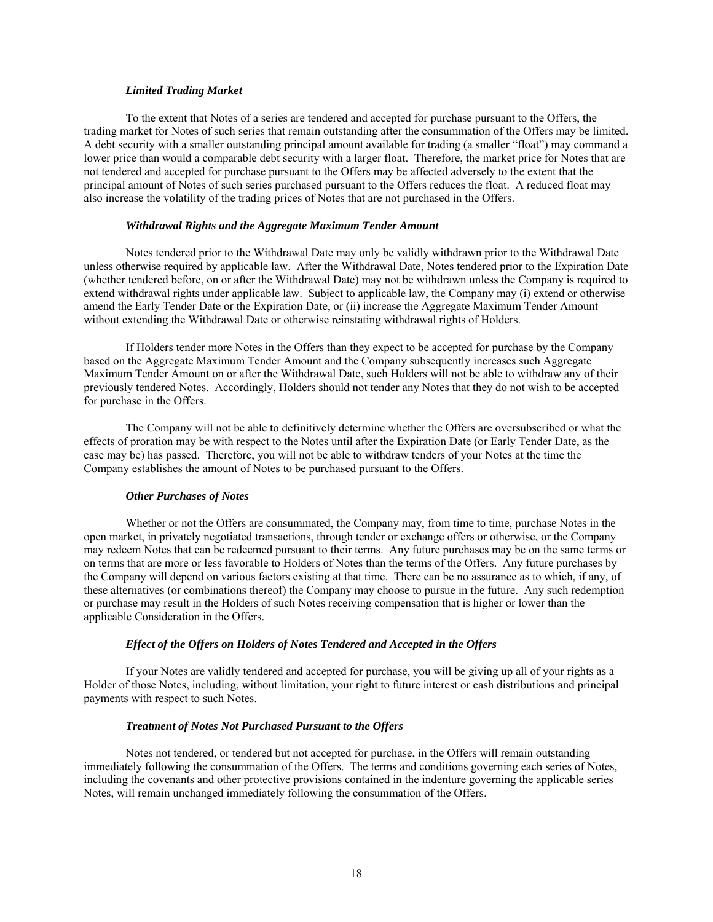## *Limited Trading Market*

To the extent that Notes of a series are tendered and accepted for purchase pursuant to the Offers, the trading market for Notes of such series that remain outstanding after the consummation of the Offers may be limited. A debt security with a smaller outstanding principal amount available for trading (a smaller "float") may command a lower price than would a comparable debt security with a larger float. Therefore, the market price for Notes that are not tendered and accepted for purchase pursuant to the Offers may be affected adversely to the extent that the principal amount of Notes of such series purchased pursuant to the Offers reduces the float. A reduced float may also increase the volatility of the trading prices of Notes that are not purchased in the Offers.

## *Withdrawal Rights and the Aggregate Maximum Tender Amount*

Notes tendered prior to the Withdrawal Date may only be validly withdrawn prior to the Withdrawal Date unless otherwise required by applicable law. After the Withdrawal Date, Notes tendered prior to the Expiration Date (whether tendered before, on or after the Withdrawal Date) may not be withdrawn unless the Company is required to extend withdrawal rights under applicable law. Subject to applicable law, the Company may (i) extend or otherwise amend the Early Tender Date or the Expiration Date, or (ii) increase the Aggregate Maximum Tender Amount without extending the Withdrawal Date or otherwise reinstating withdrawal rights of Holders.

If Holders tender more Notes in the Offers than they expect to be accepted for purchase by the Company based on the Aggregate Maximum Tender Amount and the Company subsequently increases such Aggregate Maximum Tender Amount on or after the Withdrawal Date, such Holders will not be able to withdraw any of their previously tendered Notes. Accordingly, Holders should not tender any Notes that they do not wish to be accepted for purchase in the Offers.

The Company will not be able to definitively determine whether the Offers are oversubscribed or what the effects of proration may be with respect to the Notes until after the Expiration Date (or Early Tender Date, as the case may be) has passed. Therefore, you will not be able to withdraw tenders of your Notes at the time the Company establishes the amount of Notes to be purchased pursuant to the Offers.

# *Other Purchases of Notes*

Whether or not the Offers are consummated, the Company may, from time to time, purchase Notes in the open market, in privately negotiated transactions, through tender or exchange offers or otherwise, or the Company may redeem Notes that can be redeemed pursuant to their terms. Any future purchases may be on the same terms or on terms that are more or less favorable to Holders of Notes than the terms of the Offers. Any future purchases by the Company will depend on various factors existing at that time. There can be no assurance as to which, if any, of these alternatives (or combinations thereof) the Company may choose to pursue in the future. Any such redemption or purchase may result in the Holders of such Notes receiving compensation that is higher or lower than the applicable Consideration in the Offers.

# *Effect of the Offers on Holders of Notes Tendered and Accepted in the Offers*

If your Notes are validly tendered and accepted for purchase, you will be giving up all of your rights as a Holder of those Notes, including, without limitation, your right to future interest or cash distributions and principal payments with respect to such Notes.

# *Treatment of Notes Not Purchased Pursuant to the Offers*

Notes not tendered, or tendered but not accepted for purchase, in the Offers will remain outstanding immediately following the consummation of the Offers. The terms and conditions governing each series of Notes, including the covenants and other protective provisions contained in the indenture governing the applicable series Notes, will remain unchanged immediately following the consummation of the Offers.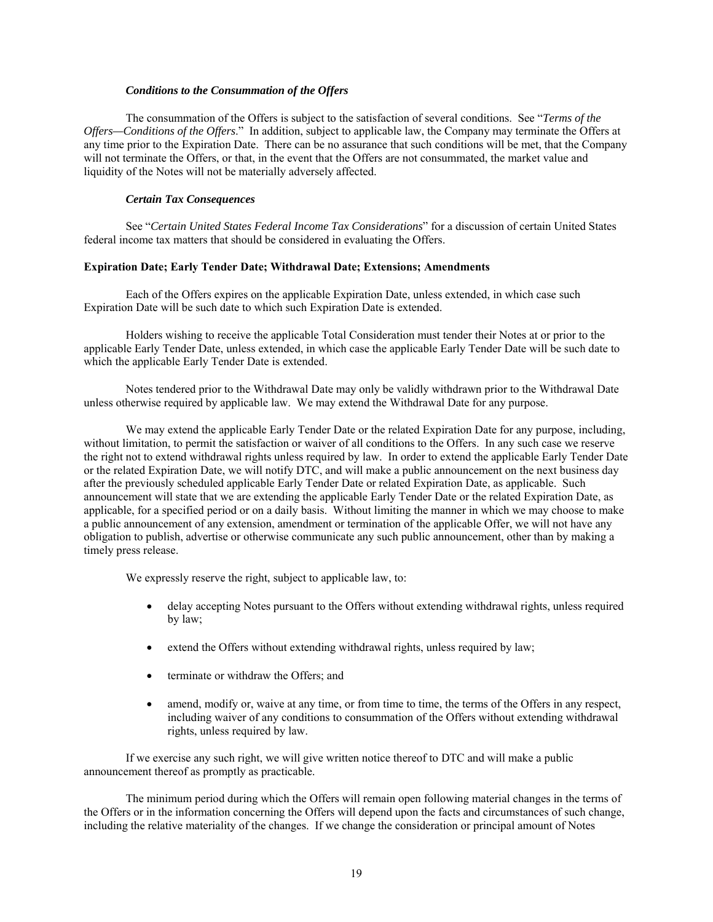# *Conditions to the Consummation of the Offers*

The consummation of the Offers is subject to the satisfaction of several conditions. See "*Terms of the Offers—Conditions of the Offers*." In addition, subject to applicable law, the Company may terminate the Offers at any time prior to the Expiration Date. There can be no assurance that such conditions will be met, that the Company will not terminate the Offers, or that, in the event that the Offers are not consummated, the market value and liquidity of the Notes will not be materially adversely affected.

## *Certain Tax Consequences*

See "*Certain United States Federal Income Tax Considerations*" for a discussion of certain United States federal income tax matters that should be considered in evaluating the Offers.

## **Expiration Date; Early Tender Date; Withdrawal Date; Extensions; Amendments**

Each of the Offers expires on the applicable Expiration Date, unless extended, in which case such Expiration Date will be such date to which such Expiration Date is extended.

Holders wishing to receive the applicable Total Consideration must tender their Notes at or prior to the applicable Early Tender Date, unless extended, in which case the applicable Early Tender Date will be such date to which the applicable Early Tender Date is extended.

Notes tendered prior to the Withdrawal Date may only be validly withdrawn prior to the Withdrawal Date unless otherwise required by applicable law. We may extend the Withdrawal Date for any purpose.

We may extend the applicable Early Tender Date or the related Expiration Date for any purpose, including, without limitation, to permit the satisfaction or waiver of all conditions to the Offers. In any such case we reserve the right not to extend withdrawal rights unless required by law. In order to extend the applicable Early Tender Date or the related Expiration Date, we will notify DTC, and will make a public announcement on the next business day after the previously scheduled applicable Early Tender Date or related Expiration Date, as applicable. Such announcement will state that we are extending the applicable Early Tender Date or the related Expiration Date, as applicable, for a specified period or on a daily basis. Without limiting the manner in which we may choose to make a public announcement of any extension, amendment or termination of the applicable Offer, we will not have any obligation to publish, advertise or otherwise communicate any such public announcement, other than by making a timely press release.

We expressly reserve the right, subject to applicable law, to:

- delay accepting Notes pursuant to the Offers without extending withdrawal rights, unless required by law;
- extend the Offers without extending withdrawal rights, unless required by law;
- terminate or withdraw the Offers; and
- amend, modify or, waive at any time, or from time to time, the terms of the Offers in any respect, including waiver of any conditions to consummation of the Offers without extending withdrawal rights, unless required by law.

If we exercise any such right, we will give written notice thereof to DTC and will make a public announcement thereof as promptly as practicable.

The minimum period during which the Offers will remain open following material changes in the terms of the Offers or in the information concerning the Offers will depend upon the facts and circumstances of such change, including the relative materiality of the changes. If we change the consideration or principal amount of Notes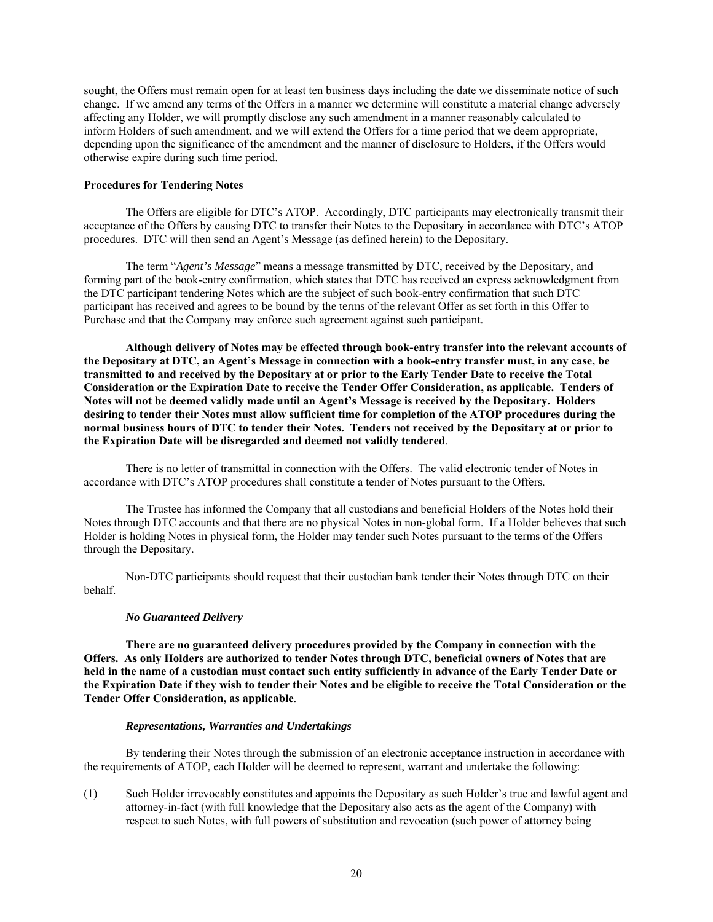sought, the Offers must remain open for at least ten business days including the date we disseminate notice of such change. If we amend any terms of the Offers in a manner we determine will constitute a material change adversely affecting any Holder, we will promptly disclose any such amendment in a manner reasonably calculated to inform Holders of such amendment, and we will extend the Offers for a time period that we deem appropriate, depending upon the significance of the amendment and the manner of disclosure to Holders, if the Offers would otherwise expire during such time period.

# **Procedures for Tendering Notes**

The Offers are eligible for DTC's ATOP. Accordingly, DTC participants may electronically transmit their acceptance of the Offers by causing DTC to transfer their Notes to the Depositary in accordance with DTC's ATOP procedures. DTC will then send an Agent's Message (as defined herein) to the Depositary.

The term "*Agent's Message*" means a message transmitted by DTC, received by the Depositary, and forming part of the book-entry confirmation, which states that DTC has received an express acknowledgment from the DTC participant tendering Notes which are the subject of such book-entry confirmation that such DTC participant has received and agrees to be bound by the terms of the relevant Offer as set forth in this Offer to Purchase and that the Company may enforce such agreement against such participant.

**Although delivery of Notes may be effected through book-entry transfer into the relevant accounts of the Depositary at DTC, an Agent's Message in connection with a book-entry transfer must, in any case, be transmitted to and received by the Depositary at or prior to the Early Tender Date to receive the Total Consideration or the Expiration Date to receive the Tender Offer Consideration, as applicable. Tenders of Notes will not be deemed validly made until an Agent's Message is received by the Depositary. Holders desiring to tender their Notes must allow sufficient time for completion of the ATOP procedures during the normal business hours of DTC to tender their Notes. Tenders not received by the Depositary at or prior to the Expiration Date will be disregarded and deemed not validly tendered**.

There is no letter of transmittal in connection with the Offers. The valid electronic tender of Notes in accordance with DTC's ATOP procedures shall constitute a tender of Notes pursuant to the Offers.

The Trustee has informed the Company that all custodians and beneficial Holders of the Notes hold their Notes through DTC accounts and that there are no physical Notes in non-global form. If a Holder believes that such Holder is holding Notes in physical form, the Holder may tender such Notes pursuant to the terms of the Offers through the Depositary.

Non-DTC participants should request that their custodian bank tender their Notes through DTC on their behalf.

# *No Guaranteed Delivery*

**There are no guaranteed delivery procedures provided by the Company in connection with the Offers. As only Holders are authorized to tender Notes through DTC, beneficial owners of Notes that are held in the name of a custodian must contact such entity sufficiently in advance of the Early Tender Date or the Expiration Date if they wish to tender their Notes and be eligible to receive the Total Consideration or the Tender Offer Consideration, as applicable**.

# *Representations, Warranties and Undertakings*

By tendering their Notes through the submission of an electronic acceptance instruction in accordance with the requirements of ATOP, each Holder will be deemed to represent, warrant and undertake the following:

(1) Such Holder irrevocably constitutes and appoints the Depositary as such Holder's true and lawful agent and attorney-in-fact (with full knowledge that the Depositary also acts as the agent of the Company) with respect to such Notes, with full powers of substitution and revocation (such power of attorney being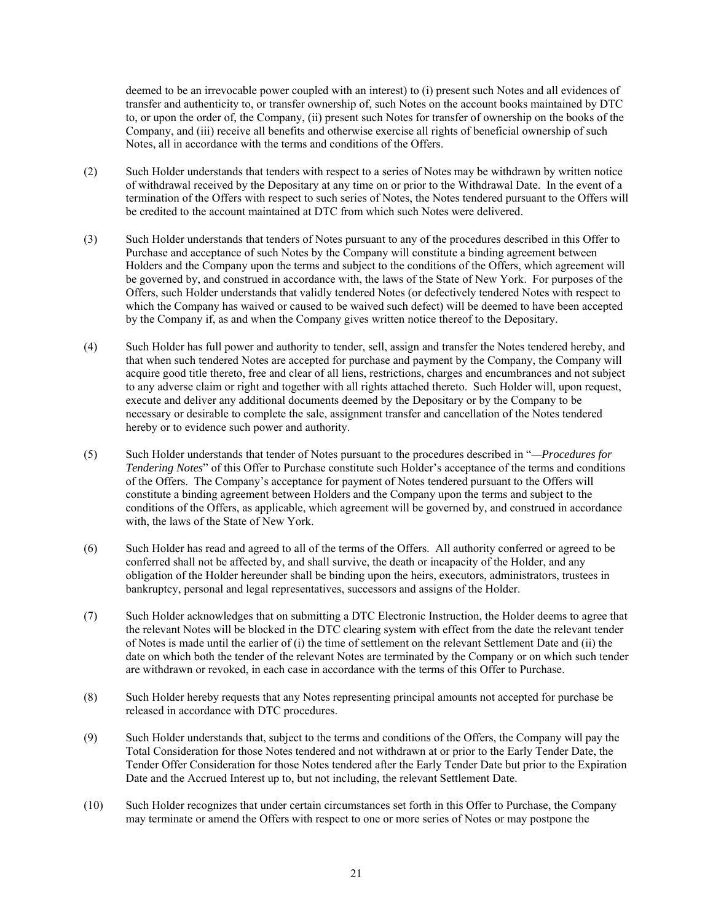deemed to be an irrevocable power coupled with an interest) to (i) present such Notes and all evidences of transfer and authenticity to, or transfer ownership of, such Notes on the account books maintained by DTC to, or upon the order of, the Company, (ii) present such Notes for transfer of ownership on the books of the Company, and (iii) receive all benefits and otherwise exercise all rights of beneficial ownership of such Notes, all in accordance with the terms and conditions of the Offers.

- (2) Such Holder understands that tenders with respect to a series of Notes may be withdrawn by written notice of withdrawal received by the Depositary at any time on or prior to the Withdrawal Date. In the event of a termination of the Offers with respect to such series of Notes, the Notes tendered pursuant to the Offers will be credited to the account maintained at DTC from which such Notes were delivered.
- (3) Such Holder understands that tenders of Notes pursuant to any of the procedures described in this Offer to Purchase and acceptance of such Notes by the Company will constitute a binding agreement between Holders and the Company upon the terms and subject to the conditions of the Offers, which agreement will be governed by, and construed in accordance with, the laws of the State of New York. For purposes of the Offers, such Holder understands that validly tendered Notes (or defectively tendered Notes with respect to which the Company has waived or caused to be waived such defect) will be deemed to have been accepted by the Company if, as and when the Company gives written notice thereof to the Depositary.
- (4) Such Holder has full power and authority to tender, sell, assign and transfer the Notes tendered hereby, and that when such tendered Notes are accepted for purchase and payment by the Company, the Company will acquire good title thereto, free and clear of all liens, restrictions, charges and encumbrances and not subject to any adverse claim or right and together with all rights attached thereto. Such Holder will, upon request, execute and deliver any additional documents deemed by the Depositary or by the Company to be necessary or desirable to complete the sale, assignment transfer and cancellation of the Notes tendered hereby or to evidence such power and authority.
- (5) Such Holder understands that tender of Notes pursuant to the procedures described in "*—Procedures for Tendering Notes*" of this Offer to Purchase constitute such Holder's acceptance of the terms and conditions of the Offers. The Company's acceptance for payment of Notes tendered pursuant to the Offers will constitute a binding agreement between Holders and the Company upon the terms and subject to the conditions of the Offers, as applicable, which agreement will be governed by, and construed in accordance with, the laws of the State of New York.
- (6) Such Holder has read and agreed to all of the terms of the Offers. All authority conferred or agreed to be conferred shall not be affected by, and shall survive, the death or incapacity of the Holder, and any obligation of the Holder hereunder shall be binding upon the heirs, executors, administrators, trustees in bankruptcy, personal and legal representatives, successors and assigns of the Holder.
- (7) Such Holder acknowledges that on submitting a DTC Electronic Instruction, the Holder deems to agree that the relevant Notes will be blocked in the DTC clearing system with effect from the date the relevant tender of Notes is made until the earlier of (i) the time of settlement on the relevant Settlement Date and (ii) the date on which both the tender of the relevant Notes are terminated by the Company or on which such tender are withdrawn or revoked, in each case in accordance with the terms of this Offer to Purchase.
- (8) Such Holder hereby requests that any Notes representing principal amounts not accepted for purchase be released in accordance with DTC procedures.
- (9) Such Holder understands that, subject to the terms and conditions of the Offers, the Company will pay the Total Consideration for those Notes tendered and not withdrawn at or prior to the Early Tender Date, the Tender Offer Consideration for those Notes tendered after the Early Tender Date but prior to the Expiration Date and the Accrued Interest up to, but not including, the relevant Settlement Date.
- (10) Such Holder recognizes that under certain circumstances set forth in this Offer to Purchase, the Company may terminate or amend the Offers with respect to one or more series of Notes or may postpone the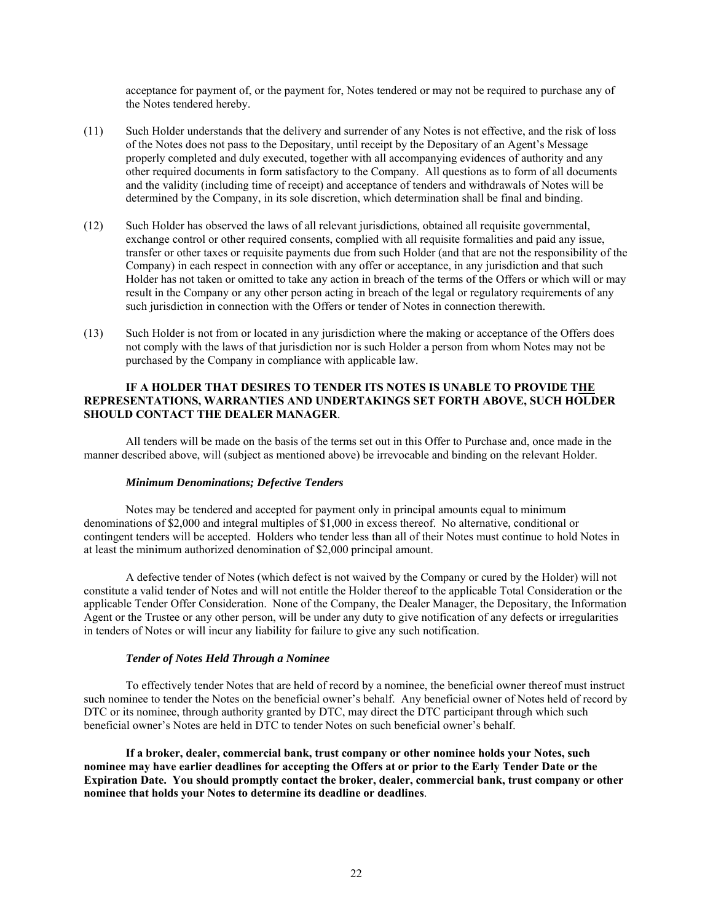acceptance for payment of, or the payment for, Notes tendered or may not be required to purchase any of the Notes tendered hereby.

- (11) Such Holder understands that the delivery and surrender of any Notes is not effective, and the risk of loss of the Notes does not pass to the Depositary, until receipt by the Depositary of an Agent's Message properly completed and duly executed, together with all accompanying evidences of authority and any other required documents in form satisfactory to the Company. All questions as to form of all documents and the validity (including time of receipt) and acceptance of tenders and withdrawals of Notes will be determined by the Company, in its sole discretion, which determination shall be final and binding.
- (12) Such Holder has observed the laws of all relevant jurisdictions, obtained all requisite governmental, exchange control or other required consents, complied with all requisite formalities and paid any issue, transfer or other taxes or requisite payments due from such Holder (and that are not the responsibility of the Company) in each respect in connection with any offer or acceptance, in any jurisdiction and that such Holder has not taken or omitted to take any action in breach of the terms of the Offers or which will or may result in the Company or any other person acting in breach of the legal or regulatory requirements of any such jurisdiction in connection with the Offers or tender of Notes in connection therewith.
- (13) Such Holder is not from or located in any jurisdiction where the making or acceptance of the Offers does not comply with the laws of that jurisdiction nor is such Holder a person from whom Notes may not be purchased by the Company in compliance with applicable law.

# **IF A HOLDER THAT DESIRES TO TENDER ITS NOTES IS UNABLE TO PROVIDE THE REPRESENTATIONS, WARRANTIES AND UNDERTAKINGS SET FORTH ABOVE, SUCH HOLDER SHOULD CONTACT THE DEALER MANAGER**.

All tenders will be made on the basis of the terms set out in this Offer to Purchase and, once made in the manner described above, will (subject as mentioned above) be irrevocable and binding on the relevant Holder.

# *Minimum Denominations; Defective Tenders*

Notes may be tendered and accepted for payment only in principal amounts equal to minimum denominations of \$2,000 and integral multiples of \$1,000 in excess thereof. No alternative, conditional or contingent tenders will be accepted. Holders who tender less than all of their Notes must continue to hold Notes in at least the minimum authorized denomination of \$2,000 principal amount.

A defective tender of Notes (which defect is not waived by the Company or cured by the Holder) will not constitute a valid tender of Notes and will not entitle the Holder thereof to the applicable Total Consideration or the applicable Tender Offer Consideration. None of the Company, the Dealer Manager, the Depositary, the Information Agent or the Trustee or any other person, will be under any duty to give notification of any defects or irregularities in tenders of Notes or will incur any liability for failure to give any such notification.

### *Tender of Notes Held Through a Nominee*

To effectively tender Notes that are held of record by a nominee, the beneficial owner thereof must instruct such nominee to tender the Notes on the beneficial owner's behalf. Any beneficial owner of Notes held of record by DTC or its nominee, through authority granted by DTC, may direct the DTC participant through which such beneficial owner's Notes are held in DTC to tender Notes on such beneficial owner's behalf.

**If a broker, dealer, commercial bank, trust company or other nominee holds your Notes, such nominee may have earlier deadlines for accepting the Offers at or prior to the Early Tender Date or the Expiration Date. You should promptly contact the broker, dealer, commercial bank, trust company or other nominee that holds your Notes to determine its deadline or deadlines**.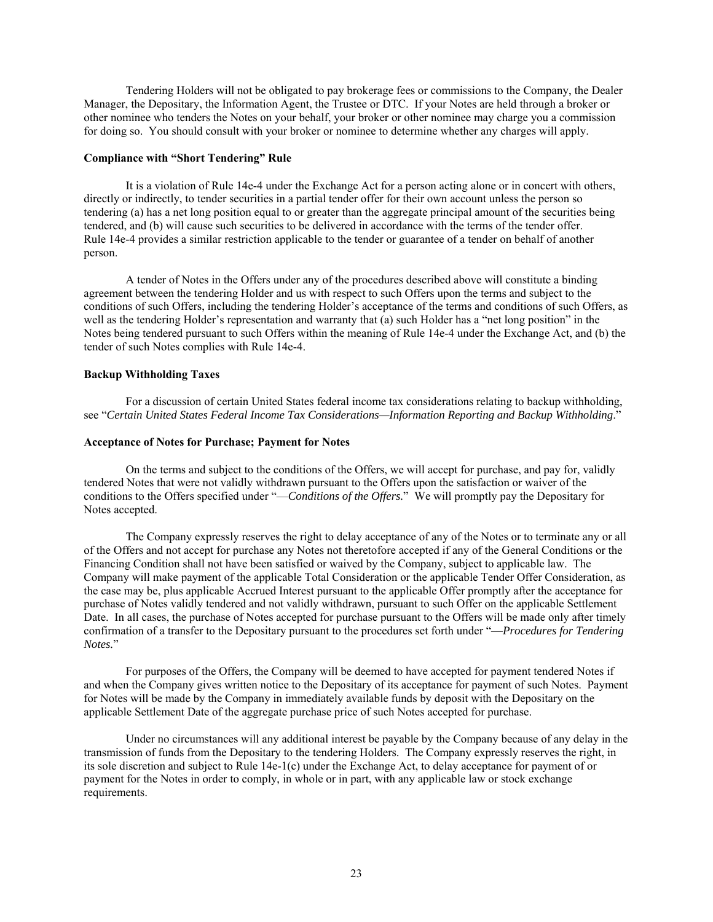Tendering Holders will not be obligated to pay brokerage fees or commissions to the Company, the Dealer Manager, the Depositary, the Information Agent, the Trustee or DTC. If your Notes are held through a broker or other nominee who tenders the Notes on your behalf, your broker or other nominee may charge you a commission for doing so. You should consult with your broker or nominee to determine whether any charges will apply.

## **Compliance with "Short Tendering" Rule**

It is a violation of Rule 14e-4 under the Exchange Act for a person acting alone or in concert with others, directly or indirectly, to tender securities in a partial tender offer for their own account unless the person so tendering (a) has a net long position equal to or greater than the aggregate principal amount of the securities being tendered, and (b) will cause such securities to be delivered in accordance with the terms of the tender offer. Rule 14e-4 provides a similar restriction applicable to the tender or guarantee of a tender on behalf of another person.

A tender of Notes in the Offers under any of the procedures described above will constitute a binding agreement between the tendering Holder and us with respect to such Offers upon the terms and subject to the conditions of such Offers, including the tendering Holder's acceptance of the terms and conditions of such Offers, as well as the tendering Holder's representation and warranty that (a) such Holder has a "net long position" in the Notes being tendered pursuant to such Offers within the meaning of Rule 14e-4 under the Exchange Act, and (b) the tender of such Notes complies with Rule 14e-4.

#### **Backup Withholding Taxes**

For a discussion of certain United States federal income tax considerations relating to backup withholding, see "*Certain United States Federal Income Tax Considerations—Information Reporting and Backup Withholding*."

### **Acceptance of Notes for Purchase; Payment for Notes**

On the terms and subject to the conditions of the Offers, we will accept for purchase, and pay for, validly tendered Notes that were not validly withdrawn pursuant to the Offers upon the satisfaction or waiver of the conditions to the Offers specified under "—*Conditions of the Offers.*" We will promptly pay the Depositary for Notes accepted.

The Company expressly reserves the right to delay acceptance of any of the Notes or to terminate any or all of the Offers and not accept for purchase any Notes not theretofore accepted if any of the General Conditions or the Financing Condition shall not have been satisfied or waived by the Company, subject to applicable law. The Company will make payment of the applicable Total Consideration or the applicable Tender Offer Consideration, as the case may be, plus applicable Accrued Interest pursuant to the applicable Offer promptly after the acceptance for purchase of Notes validly tendered and not validly withdrawn, pursuant to such Offer on the applicable Settlement Date. In all cases, the purchase of Notes accepted for purchase pursuant to the Offers will be made only after timely confirmation of a transfer to the Depositary pursuant to the procedures set forth under "—*Procedures for Tendering Notes.*"

For purposes of the Offers, the Company will be deemed to have accepted for payment tendered Notes if and when the Company gives written notice to the Depositary of its acceptance for payment of such Notes. Payment for Notes will be made by the Company in immediately available funds by deposit with the Depositary on the applicable Settlement Date of the aggregate purchase price of such Notes accepted for purchase.

Under no circumstances will any additional interest be payable by the Company because of any delay in the transmission of funds from the Depositary to the tendering Holders. The Company expressly reserves the right, in its sole discretion and subject to Rule 14e-1(c) under the Exchange Act, to delay acceptance for payment of or payment for the Notes in order to comply, in whole or in part, with any applicable law or stock exchange requirements.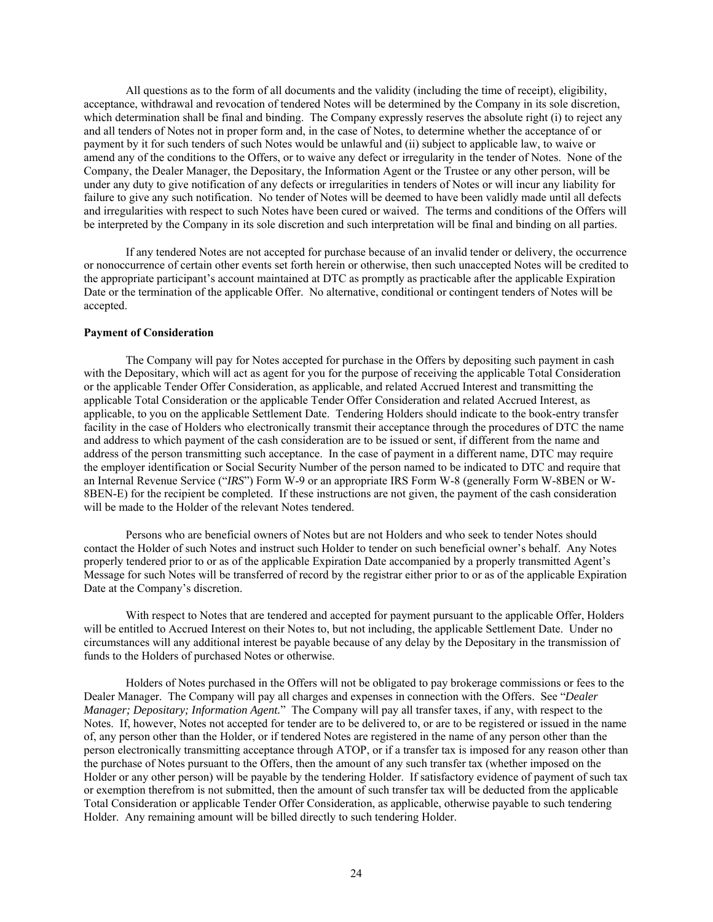All questions as to the form of all documents and the validity (including the time of receipt), eligibility, acceptance, withdrawal and revocation of tendered Notes will be determined by the Company in its sole discretion, which determination shall be final and binding. The Company expressly reserves the absolute right (i) to reject any and all tenders of Notes not in proper form and, in the case of Notes, to determine whether the acceptance of or payment by it for such tenders of such Notes would be unlawful and (ii) subject to applicable law, to waive or amend any of the conditions to the Offers, or to waive any defect or irregularity in the tender of Notes. None of the Company, the Dealer Manager, the Depositary, the Information Agent or the Trustee or any other person, will be under any duty to give notification of any defects or irregularities in tenders of Notes or will incur any liability for failure to give any such notification. No tender of Notes will be deemed to have been validly made until all defects and irregularities with respect to such Notes have been cured or waived. The terms and conditions of the Offers will be interpreted by the Company in its sole discretion and such interpretation will be final and binding on all parties.

If any tendered Notes are not accepted for purchase because of an invalid tender or delivery, the occurrence or nonoccurrence of certain other events set forth herein or otherwise, then such unaccepted Notes will be credited to the appropriate participant's account maintained at DTC as promptly as practicable after the applicable Expiration Date or the termination of the applicable Offer. No alternative, conditional or contingent tenders of Notes will be accepted.

# **Payment of Consideration**

The Company will pay for Notes accepted for purchase in the Offers by depositing such payment in cash with the Depositary, which will act as agent for you for the purpose of receiving the applicable Total Consideration or the applicable Tender Offer Consideration, as applicable, and related Accrued Interest and transmitting the applicable Total Consideration or the applicable Tender Offer Consideration and related Accrued Interest, as applicable, to you on the applicable Settlement Date. Tendering Holders should indicate to the book-entry transfer facility in the case of Holders who electronically transmit their acceptance through the procedures of DTC the name and address to which payment of the cash consideration are to be issued or sent, if different from the name and address of the person transmitting such acceptance. In the case of payment in a different name, DTC may require the employer identification or Social Security Number of the person named to be indicated to DTC and require that an Internal Revenue Service ("*IRS*") Form W-9 or an appropriate IRS Form W-8 (generally Form W-8BEN or W-8BEN-E) for the recipient be completed. If these instructions are not given, the payment of the cash consideration will be made to the Holder of the relevant Notes tendered.

Persons who are beneficial owners of Notes but are not Holders and who seek to tender Notes should contact the Holder of such Notes and instruct such Holder to tender on such beneficial owner's behalf. Any Notes properly tendered prior to or as of the applicable Expiration Date accompanied by a properly transmitted Agent's Message for such Notes will be transferred of record by the registrar either prior to or as of the applicable Expiration Date at the Company's discretion.

With respect to Notes that are tendered and accepted for payment pursuant to the applicable Offer, Holders will be entitled to Accrued Interest on their Notes to, but not including, the applicable Settlement Date. Under no circumstances will any additional interest be payable because of any delay by the Depositary in the transmission of funds to the Holders of purchased Notes or otherwise.

Holders of Notes purchased in the Offers will not be obligated to pay brokerage commissions or fees to the Dealer Manager. The Company will pay all charges and expenses in connection with the Offers. See "*Dealer Manager; Depositary; Information Agent.*" The Company will pay all transfer taxes, if any, with respect to the Notes. If, however, Notes not accepted for tender are to be delivered to, or are to be registered or issued in the name of, any person other than the Holder, or if tendered Notes are registered in the name of any person other than the person electronically transmitting acceptance through ATOP, or if a transfer tax is imposed for any reason other than the purchase of Notes pursuant to the Offers, then the amount of any such transfer tax (whether imposed on the Holder or any other person) will be payable by the tendering Holder. If satisfactory evidence of payment of such tax or exemption therefrom is not submitted, then the amount of such transfer tax will be deducted from the applicable Total Consideration or applicable Tender Offer Consideration, as applicable, otherwise payable to such tendering Holder. Any remaining amount will be billed directly to such tendering Holder.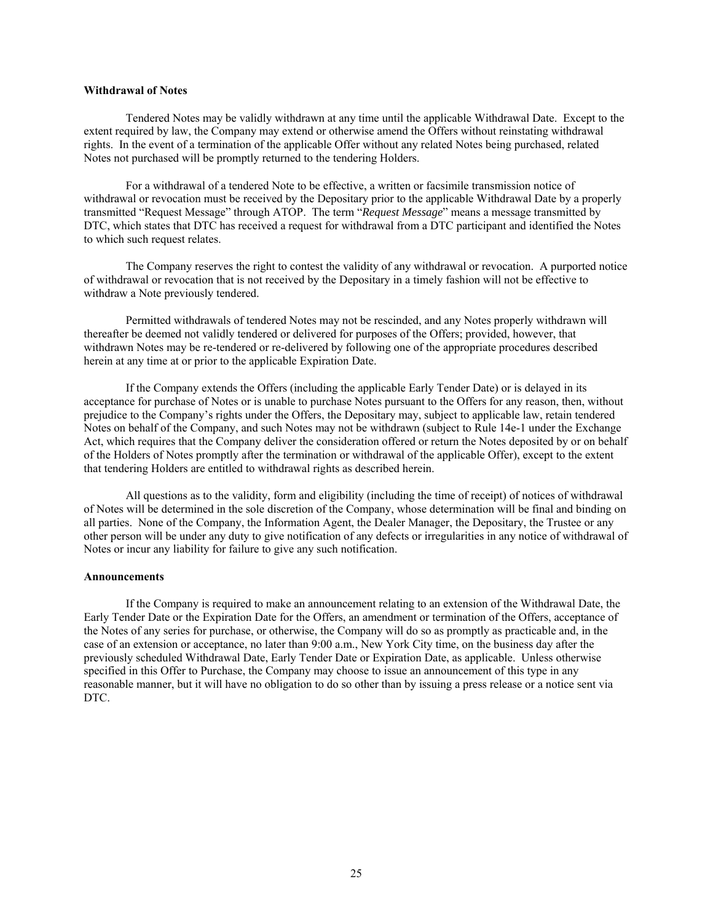# **Withdrawal of Notes**

Tendered Notes may be validly withdrawn at any time until the applicable Withdrawal Date. Except to the extent required by law, the Company may extend or otherwise amend the Offers without reinstating withdrawal rights. In the event of a termination of the applicable Offer without any related Notes being purchased, related Notes not purchased will be promptly returned to the tendering Holders.

For a withdrawal of a tendered Note to be effective, a written or facsimile transmission notice of withdrawal or revocation must be received by the Depositary prior to the applicable Withdrawal Date by a properly transmitted "Request Message" through ATOP. The term "*Request Message*" means a message transmitted by DTC, which states that DTC has received a request for withdrawal from a DTC participant and identified the Notes to which such request relates.

The Company reserves the right to contest the validity of any withdrawal or revocation. A purported notice of withdrawal or revocation that is not received by the Depositary in a timely fashion will not be effective to withdraw a Note previously tendered.

Permitted withdrawals of tendered Notes may not be rescinded, and any Notes properly withdrawn will thereafter be deemed not validly tendered or delivered for purposes of the Offers; provided, however, that withdrawn Notes may be re-tendered or re-delivered by following one of the appropriate procedures described herein at any time at or prior to the applicable Expiration Date.

If the Company extends the Offers (including the applicable Early Tender Date) or is delayed in its acceptance for purchase of Notes or is unable to purchase Notes pursuant to the Offers for any reason, then, without prejudice to the Company's rights under the Offers, the Depositary may, subject to applicable law, retain tendered Notes on behalf of the Company, and such Notes may not be withdrawn (subject to Rule 14e-1 under the Exchange Act, which requires that the Company deliver the consideration offered or return the Notes deposited by or on behalf of the Holders of Notes promptly after the termination or withdrawal of the applicable Offer), except to the extent that tendering Holders are entitled to withdrawal rights as described herein.

All questions as to the validity, form and eligibility (including the time of receipt) of notices of withdrawal of Notes will be determined in the sole discretion of the Company, whose determination will be final and binding on all parties. None of the Company, the Information Agent, the Dealer Manager, the Depositary, the Trustee or any other person will be under any duty to give notification of any defects or irregularities in any notice of withdrawal of Notes or incur any liability for failure to give any such notification.

#### **Announcements**

If the Company is required to make an announcement relating to an extension of the Withdrawal Date, the Early Tender Date or the Expiration Date for the Offers, an amendment or termination of the Offers, acceptance of the Notes of any series for purchase, or otherwise, the Company will do so as promptly as practicable and, in the case of an extension or acceptance, no later than 9:00 a.m., New York City time, on the business day after the previously scheduled Withdrawal Date, Early Tender Date or Expiration Date, as applicable. Unless otherwise specified in this Offer to Purchase, the Company may choose to issue an announcement of this type in any reasonable manner, but it will have no obligation to do so other than by issuing a press release or a notice sent via DTC.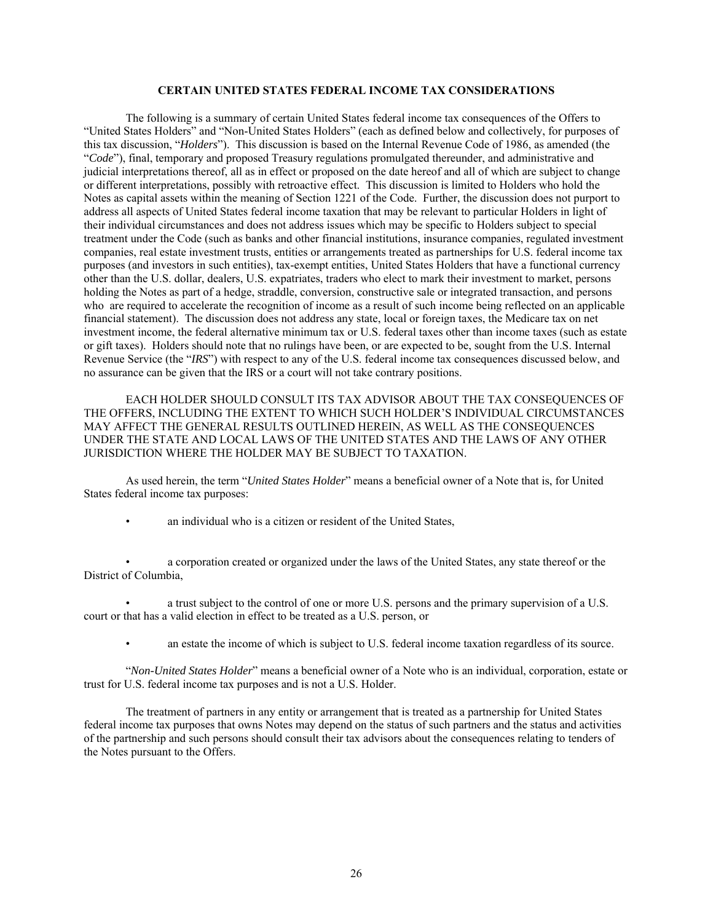# **CERTAIN UNITED STATES FEDERAL INCOME TAX CONSIDERATIONS**

The following is a summary of certain United States federal income tax consequences of the Offers to "United States Holders" and "Non-United States Holders" (each as defined below and collectively, for purposes of this tax discussion, "*Holders*"). This discussion is based on the Internal Revenue Code of 1986, as amended (the "*Code*"), final, temporary and proposed Treasury regulations promulgated thereunder, and administrative and judicial interpretations thereof, all as in effect or proposed on the date hereof and all of which are subject to change or different interpretations, possibly with retroactive effect. This discussion is limited to Holders who hold the Notes as capital assets within the meaning of Section 1221 of the Code. Further, the discussion does not purport to address all aspects of United States federal income taxation that may be relevant to particular Holders in light of their individual circumstances and does not address issues which may be specific to Holders subject to special treatment under the Code (such as banks and other financial institutions, insurance companies, regulated investment companies, real estate investment trusts, entities or arrangements treated as partnerships for U.S. federal income tax purposes (and investors in such entities), tax-exempt entities, United States Holders that have a functional currency other than the U.S. dollar, dealers, U.S. expatriates, traders who elect to mark their investment to market, persons holding the Notes as part of a hedge, straddle, conversion, constructive sale or integrated transaction, and persons who are required to accelerate the recognition of income as a result of such income being reflected on an applicable financial statement). The discussion does not address any state, local or foreign taxes, the Medicare tax on net investment income, the federal alternative minimum tax or U.S. federal taxes other than income taxes (such as estate or gift taxes). Holders should note that no rulings have been, or are expected to be, sought from the U.S. Internal Revenue Service (the "*IRS*") with respect to any of the U.S. federal income tax consequences discussed below, and no assurance can be given that the IRS or a court will not take contrary positions.

EACH HOLDER SHOULD CONSULT ITS TAX ADVISOR ABOUT THE TAX CONSEQUENCES OF THE OFFERS, INCLUDING THE EXTENT TO WHICH SUCH HOLDER'S INDIVIDUAL CIRCUMSTANCES MAY AFFECT THE GENERAL RESULTS OUTLINED HEREIN, AS WELL AS THE CONSEQUENCES UNDER THE STATE AND LOCAL LAWS OF THE UNITED STATES AND THE LAWS OF ANY OTHER JURISDICTION WHERE THE HOLDER MAY BE SUBJECT TO TAXATION.

As used herein, the term "*United States Holder*" means a beneficial owner of a Note that is, for United States federal income tax purposes:

• an individual who is a citizen or resident of the United States,

• a corporation created or organized under the laws of the United States, any state thereof or the District of Columbia,

• a trust subject to the control of one or more U.S. persons and the primary supervision of a U.S. court or that has a valid election in effect to be treated as a U.S. person, or

• an estate the income of which is subject to U.S. federal income taxation regardless of its source.

"*Non-United States Holder*" means a beneficial owner of a Note who is an individual, corporation, estate or trust for U.S. federal income tax purposes and is not a U.S. Holder.

The treatment of partners in any entity or arrangement that is treated as a partnership for United States federal income tax purposes that owns Notes may depend on the status of such partners and the status and activities of the partnership and such persons should consult their tax advisors about the consequences relating to tenders of the Notes pursuant to the Offers.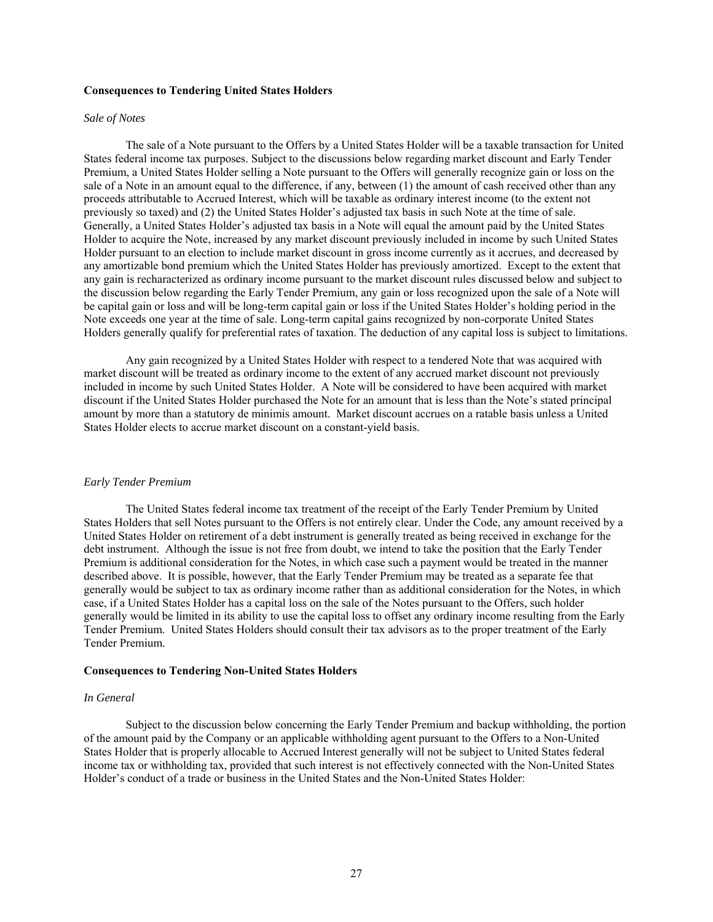# **Consequences to Tendering United States Holders**

#### *Sale of Notes*

The sale of a Note pursuant to the Offers by a United States Holder will be a taxable transaction for United States federal income tax purposes. Subject to the discussions below regarding market discount and Early Tender Premium, a United States Holder selling a Note pursuant to the Offers will generally recognize gain or loss on the sale of a Note in an amount equal to the difference, if any, between (1) the amount of cash received other than any proceeds attributable to Accrued Interest, which will be taxable as ordinary interest income (to the extent not previously so taxed) and (2) the United States Holder's adjusted tax basis in such Note at the time of sale. Generally, a United States Holder's adjusted tax basis in a Note will equal the amount paid by the United States Holder to acquire the Note, increased by any market discount previously included in income by such United States Holder pursuant to an election to include market discount in gross income currently as it accrues, and decreased by any amortizable bond premium which the United States Holder has previously amortized. Except to the extent that any gain is recharacterized as ordinary income pursuant to the market discount rules discussed below and subject to the discussion below regarding the Early Tender Premium, any gain or loss recognized upon the sale of a Note will be capital gain or loss and will be long-term capital gain or loss if the United States Holder's holding period in the Note exceeds one year at the time of sale. Long-term capital gains recognized by non-corporate United States Holders generally qualify for preferential rates of taxation. The deduction of any capital loss is subject to limitations.

Any gain recognized by a United States Holder with respect to a tendered Note that was acquired with market discount will be treated as ordinary income to the extent of any accrued market discount not previously included in income by such United States Holder. A Note will be considered to have been acquired with market discount if the United States Holder purchased the Note for an amount that is less than the Note's stated principal amount by more than a statutory de minimis amount. Market discount accrues on a ratable basis unless a United States Holder elects to accrue market discount on a constant-yield basis.

#### *Early Tender Premium*

The United States federal income tax treatment of the receipt of the Early Tender Premium by United States Holders that sell Notes pursuant to the Offers is not entirely clear. Under the Code, any amount received by a United States Holder on retirement of a debt instrument is generally treated as being received in exchange for the debt instrument. Although the issue is not free from doubt, we intend to take the position that the Early Tender Premium is additional consideration for the Notes, in which case such a payment would be treated in the manner described above. It is possible, however, that the Early Tender Premium may be treated as a separate fee that generally would be subject to tax as ordinary income rather than as additional consideration for the Notes, in which case, if a United States Holder has a capital loss on the sale of the Notes pursuant to the Offers, such holder generally would be limited in its ability to use the capital loss to offset any ordinary income resulting from the Early Tender Premium. United States Holders should consult their tax advisors as to the proper treatment of the Early Tender Premium.

### **Consequences to Tendering Non-United States Holders**

# *In General*

Subject to the discussion below concerning the Early Tender Premium and backup withholding, the portion of the amount paid by the Company or an applicable withholding agent pursuant to the Offers to a Non-United States Holder that is properly allocable to Accrued Interest generally will not be subject to United States federal income tax or withholding tax, provided that such interest is not effectively connected with the Non-United States Holder's conduct of a trade or business in the United States and the Non-United States Holder: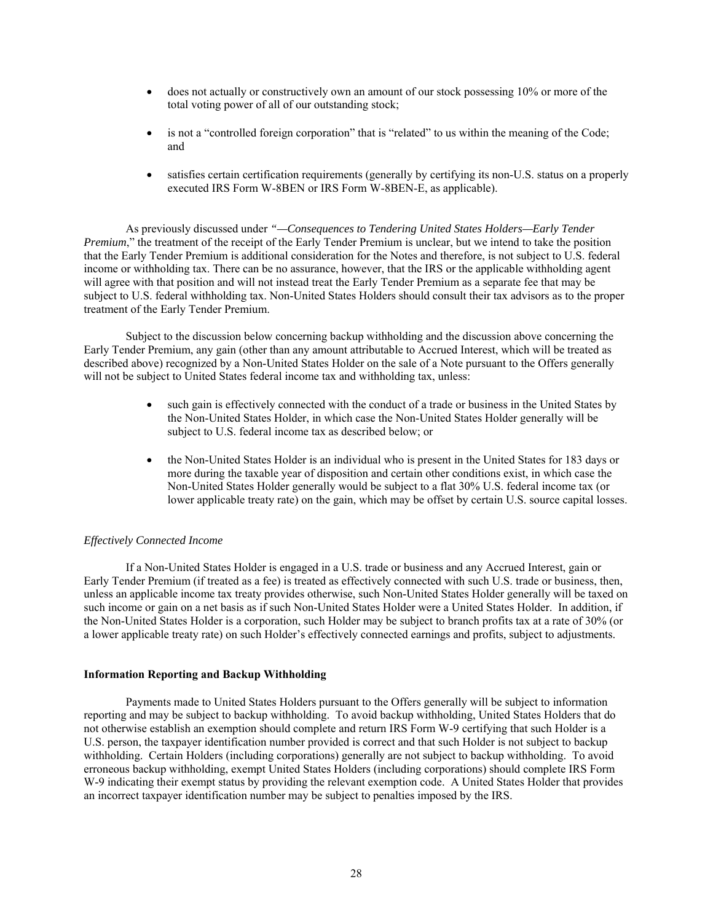- does not actually or constructively own an amount of our stock possessing 10% or more of the total voting power of all of our outstanding stock;
- is not a "controlled foreign corporation" that is "related" to us within the meaning of the Code; and
- satisfies certain certification requirements (generally by certifying its non-U.S. status on a properly executed IRS Form W-8BEN or IRS Form W-8BEN-E, as applicable).

As previously discussed under *"—Consequences to Tendering United States Holders—Early Tender Premium*," the treatment of the receipt of the Early Tender Premium is unclear, but we intend to take the position that the Early Tender Premium is additional consideration for the Notes and therefore, is not subject to U.S. federal income or withholding tax. There can be no assurance, however, that the IRS or the applicable withholding agent will agree with that position and will not instead treat the Early Tender Premium as a separate fee that may be subject to U.S. federal withholding tax. Non-United States Holders should consult their tax advisors as to the proper treatment of the Early Tender Premium.

Subject to the discussion below concerning backup withholding and the discussion above concerning the Early Tender Premium, any gain (other than any amount attributable to Accrued Interest, which will be treated as described above) recognized by a Non-United States Holder on the sale of a Note pursuant to the Offers generally will not be subject to United States federal income tax and withholding tax, unless:

- such gain is effectively connected with the conduct of a trade or business in the United States by the Non-United States Holder, in which case the Non-United States Holder generally will be subject to U.S. federal income tax as described below; or
- the Non-United States Holder is an individual who is present in the United States for 183 days or more during the taxable year of disposition and certain other conditions exist, in which case the Non-United States Holder generally would be subject to a flat 30% U.S. federal income tax (or lower applicable treaty rate) on the gain, which may be offset by certain U.S. source capital losses.

# *Effectively Connected Income*

 If a Non-United States Holder is engaged in a U.S. trade or business and any Accrued Interest, gain or Early Tender Premium (if treated as a fee) is treated as effectively connected with such U.S. trade or business, then, unless an applicable income tax treaty provides otherwise, such Non-United States Holder generally will be taxed on such income or gain on a net basis as if such Non-United States Holder were a United States Holder. In addition, if the Non-United States Holder is a corporation, such Holder may be subject to branch profits tax at a rate of 30% (or a lower applicable treaty rate) on such Holder's effectively connected earnings and profits, subject to adjustments.

# **Information Reporting and Backup Withholding**

Payments made to United States Holders pursuant to the Offers generally will be subject to information reporting and may be subject to backup withholding. To avoid backup withholding, United States Holders that do not otherwise establish an exemption should complete and return IRS Form W-9 certifying that such Holder is a U.S. person, the taxpayer identification number provided is correct and that such Holder is not subject to backup withholding. Certain Holders (including corporations) generally are not subject to backup withholding. To avoid erroneous backup withholding, exempt United States Holders (including corporations) should complete IRS Form W-9 indicating their exempt status by providing the relevant exemption code. A United States Holder that provides an incorrect taxpayer identification number may be subject to penalties imposed by the IRS.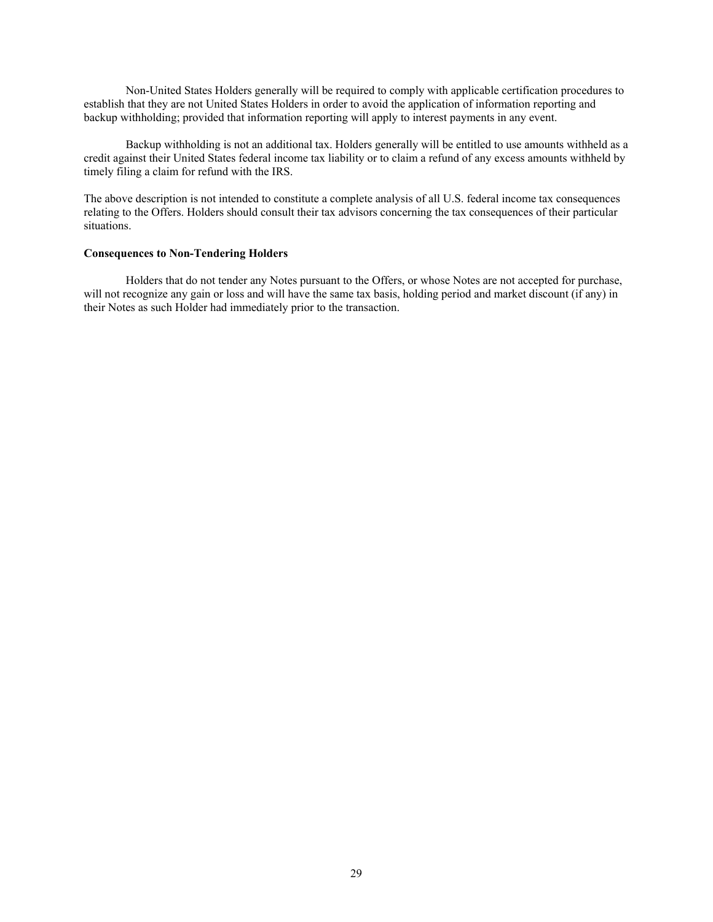Non-United States Holders generally will be required to comply with applicable certification procedures to establish that they are not United States Holders in order to avoid the application of information reporting and backup withholding; provided that information reporting will apply to interest payments in any event.

Backup withholding is not an additional tax. Holders generally will be entitled to use amounts withheld as a credit against their United States federal income tax liability or to claim a refund of any excess amounts withheld by timely filing a claim for refund with the IRS.

The above description is not intended to constitute a complete analysis of all U.S. federal income tax consequences relating to the Offers. Holders should consult their tax advisors concerning the tax consequences of their particular situations.

# **Consequences to Non-Tendering Holders**

 Holders that do not tender any Notes pursuant to the Offers, or whose Notes are not accepted for purchase, will not recognize any gain or loss and will have the same tax basis, holding period and market discount (if any) in their Notes as such Holder had immediately prior to the transaction.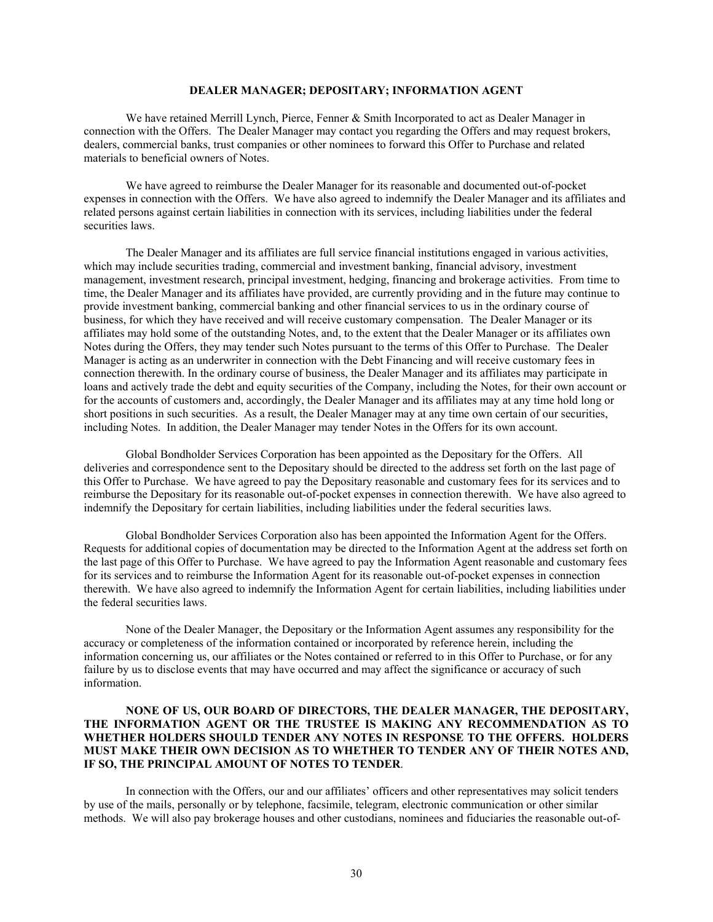# **DEALER MANAGER; DEPOSITARY; INFORMATION AGENT**

We have retained Merrill Lynch, Pierce, Fenner & Smith Incorporated to act as Dealer Manager in connection with the Offers. The Dealer Manager may contact you regarding the Offers and may request brokers, dealers, commercial banks, trust companies or other nominees to forward this Offer to Purchase and related materials to beneficial owners of Notes.

We have agreed to reimburse the Dealer Manager for its reasonable and documented out-of-pocket expenses in connection with the Offers. We have also agreed to indemnify the Dealer Manager and its affiliates and related persons against certain liabilities in connection with its services, including liabilities under the federal securities laws.

The Dealer Manager and its affiliates are full service financial institutions engaged in various activities, which may include securities trading, commercial and investment banking, financial advisory, investment management, investment research, principal investment, hedging, financing and brokerage activities. From time to time, the Dealer Manager and its affiliates have provided, are currently providing and in the future may continue to provide investment banking, commercial banking and other financial services to us in the ordinary course of business, for which they have received and will receive customary compensation. The Dealer Manager or its affiliates may hold some of the outstanding Notes, and, to the extent that the Dealer Manager or its affiliates own Notes during the Offers, they may tender such Notes pursuant to the terms of this Offer to Purchase. The Dealer Manager is acting as an underwriter in connection with the Debt Financing and will receive customary fees in connection therewith. In the ordinary course of business, the Dealer Manager and its affiliates may participate in loans and actively trade the debt and equity securities of the Company, including the Notes, for their own account or for the accounts of customers and, accordingly, the Dealer Manager and its affiliates may at any time hold long or short positions in such securities. As a result, the Dealer Manager may at any time own certain of our securities, including Notes. In addition, the Dealer Manager may tender Notes in the Offers for its own account.

Global Bondholder Services Corporation has been appointed as the Depositary for the Offers. All deliveries and correspondence sent to the Depositary should be directed to the address set forth on the last page of this Offer to Purchase. We have agreed to pay the Depositary reasonable and customary fees for its services and to reimburse the Depositary for its reasonable out-of-pocket expenses in connection therewith. We have also agreed to indemnify the Depositary for certain liabilities, including liabilities under the federal securities laws.

Global Bondholder Services Corporation also has been appointed the Information Agent for the Offers. Requests for additional copies of documentation may be directed to the Information Agent at the address set forth on the last page of this Offer to Purchase. We have agreed to pay the Information Agent reasonable and customary fees for its services and to reimburse the Information Agent for its reasonable out-of-pocket expenses in connection therewith. We have also agreed to indemnify the Information Agent for certain liabilities, including liabilities under the federal securities laws.

None of the Dealer Manager, the Depositary or the Information Agent assumes any responsibility for the accuracy or completeness of the information contained or incorporated by reference herein, including the information concerning us, our affiliates or the Notes contained or referred to in this Offer to Purchase, or for any failure by us to disclose events that may have occurred and may affect the significance or accuracy of such information.

# **NONE OF US, OUR BOARD OF DIRECTORS, THE DEALER MANAGER, THE DEPOSITARY, THE INFORMATION AGENT OR THE TRUSTEE IS MAKING ANY RECOMMENDATION AS TO WHETHER HOLDERS SHOULD TENDER ANY NOTES IN RESPONSE TO THE OFFERS. HOLDERS MUST MAKE THEIR OWN DECISION AS TO WHETHER TO TENDER ANY OF THEIR NOTES AND, IF SO, THE PRINCIPAL AMOUNT OF NOTES TO TENDER**.

In connection with the Offers, our and our affiliates' officers and other representatives may solicit tenders by use of the mails, personally or by telephone, facsimile, telegram, electronic communication or other similar methods. We will also pay brokerage houses and other custodians, nominees and fiduciaries the reasonable out-of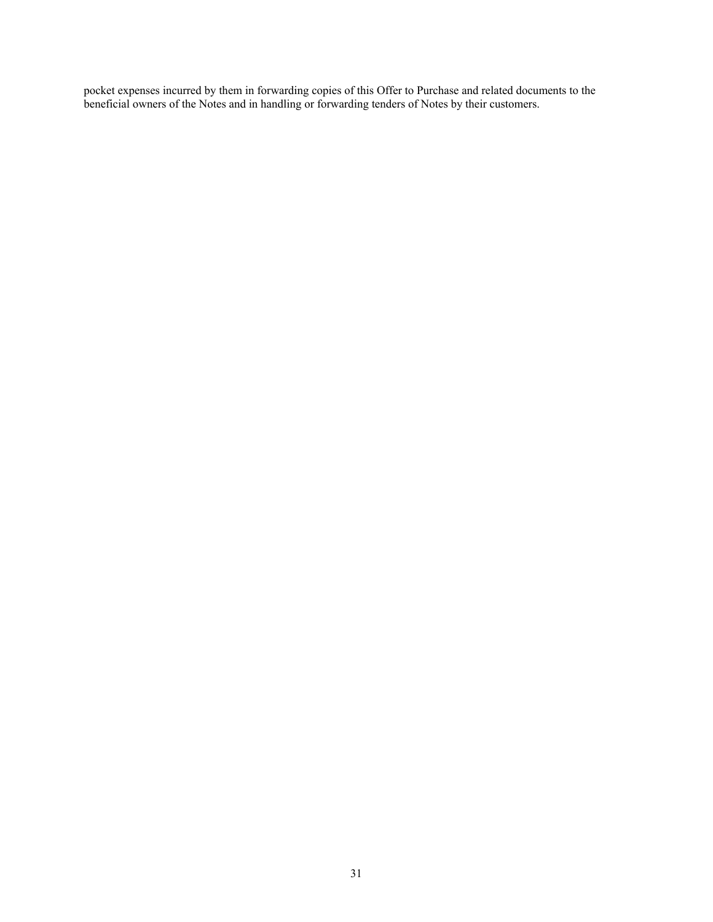pocket expenses incurred by them in forwarding copies of this Offer to Purchase and related documents to the beneficial owners of the Notes and in handling or forwarding tenders of Notes by their customers.